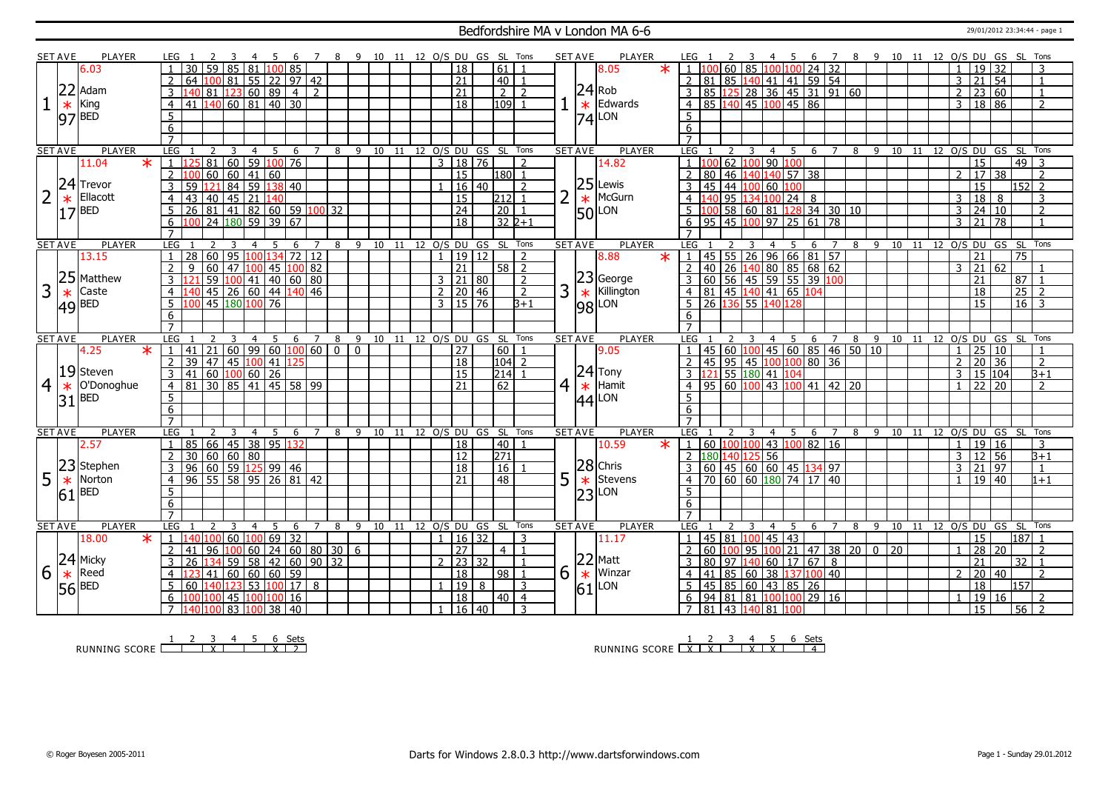### Bedfordshire MA v London MA 6-6 29/01/2012 23:34:44 - page 1

|                | <b>SET AVE</b> | PLAYER              | LEG                 |                                                                             |                                               |                | -5  |                                |                |   |              | 8 9 10 11 12 O/S DU GS SL Tons   |       |                |                                 |                      |                    |                     |                | <b>SET AVE</b> | PLAYER                          |        |                                                                                                    |                                                       |                         |                |                         |   | 6 7            |     | 8 9 10 11 12 O/S DU GS SL Tons                                      |  |                |                         |       |                    |                  |
|----------------|----------------|---------------------|---------------------|-----------------------------------------------------------------------------|-----------------------------------------------|----------------|-----|--------------------------------|----------------|---|--------------|----------------------------------|-------|----------------|---------------------------------|----------------------|--------------------|---------------------|----------------|----------------|---------------------------------|--------|----------------------------------------------------------------------------------------------------|-------------------------------------------------------|-------------------------|----------------|-------------------------|---|----------------|-----|---------------------------------------------------------------------|--|----------------|-------------------------|-------|--------------------|------------------|
|                |                | 6.03                |                     | 30<br>59                                                                    | 85                                            | 81             |     | 100 85                         |                |   |              |                                  |       |                | $\overline{18}$                 |                      | 61                 |                     |                |                | 8.05                            | $\ast$ |                                                                                                    | 60 <sup>1</sup>                                       | 85                      |                | 100 100 24 32           |   |                |     |                                                                     |  | $\mathbf{1}$   | 19 32                   |       |                    | 3                |
|                |                |                     | <sup>2</sup>        | 64                                                                          | 100 81 55 22 97 42                            |                |     |                                |                |   |              |                                  |       |                | $\overline{21}$                 |                      | l 40 l             | $\overline{1}$      |                |                |                                 |        | $\mathcal{L}$                                                                                      | 81 85 140 41 41 59 54                                 |                         |                |                         |   |                |     |                                                                     |  | $\overline{3}$ | 21 54                   |       |                    | $\overline{1}$   |
|                | 22             | Adam                | $\overline{3}$      | 40                                                                          | 81 123 60 89 4                                |                |     |                                | $\overline{2}$ |   |              |                                  |       |                | $\overline{21}$                 |                      | $\overline{2}$     | $\overline{z}$      |                |                | $ 24 $ Rob                      |        | 3                                                                                                  | 85 125 28 36 45 31 91 60                              |                         |                |                         |   |                |     |                                                                     |  | $\overline{2}$ | 23 60                   |       |                    | $\mathbf{1}$     |
|                |                | King                |                     | $41 \overline{140} \overline{60} \overline{81} \overline{40} \overline{30}$ |                                               |                |     |                                |                |   |              |                                  |       |                | $\overline{18}$                 |                      | $109$ 1            |                     |                |                | $\star$ Edwards                 |        |                                                                                                    | 85 140 45 100 45 86                                   |                         |                |                         |   |                |     |                                                                     |  |                | 3   18   86             |       |                    |                  |
|                | $\ast$         |                     | $\overline{4}$      |                                                                             |                                               |                |     |                                |                |   |              |                                  |       |                |                                 |                      |                    |                     |                |                |                                 |        | $\overline{4}$                                                                                     |                                                       |                         |                |                         |   |                |     |                                                                     |  |                |                         |       |                    | $\overline{2}$   |
|                |                | $97$ <sup>BED</sup> | $\overline{5}$      |                                                                             |                                               |                |     |                                |                |   |              |                                  |       |                |                                 |                      |                    |                     |                |                | $ 74 $ LON                      |        | 5                                                                                                  |                                                       |                         |                |                         |   |                |     |                                                                     |  |                |                         |       |                    |                  |
|                |                |                     | 6                   |                                                                             |                                               |                |     |                                |                |   |              |                                  |       |                |                                 |                      |                    |                     |                |                |                                 |        | 6                                                                                                  |                                                       |                         |                |                         |   |                |     |                                                                     |  |                |                         |       |                    |                  |
|                |                |                     |                     |                                                                             |                                               |                |     |                                |                |   |              |                                  |       |                |                                 |                      |                    |                     |                |                |                                 |        |                                                                                                    |                                                       |                         |                |                         |   |                |     |                                                                     |  |                |                         |       |                    |                  |
| <b>SET AVE</b> |                | <b>PLAYER</b>       | LEG                 |                                                                             | $\overline{3}$                                | $\overline{4}$ | 5   | 6                              |                |   |              | 7 8 9 10 11 12 O/S DU GS SL Tons |       |                |                                 |                      |                    |                     |                | <b>SET AVE</b> | <b>PLAYER</b>                   |        | LEG                                                                                                | 2                                                     | $\overline{\mathbf{3}}$ |                |                         |   |                |     | 4 5 6 7 8 9 10 11 12 O/S DU GS SL Tons                              |  |                |                         |       |                    |                  |
|                |                | 11.04<br>$\ast$     |                     |                                                                             | 81   60   59   100   76                       |                |     |                                |                |   |              |                                  |       | $\overline{3}$ | 18 76                           |                      |                    | $\overline{2}$      |                |                | 14.82                           |        |                                                                                                    | 62                                                    |                         |                | 100 90 100              |   |                |     |                                                                     |  |                | $\overline{15}$         |       | $\overline{49}$ 3  |                  |
|                |                |                     | 2                   |                                                                             | 60   60   41   60                             |                |     |                                |                |   |              |                                  |       |                | $\overline{15}$                 |                      | 1180 l1            |                     |                |                |                                 |        |                                                                                                    | 80   46                                               |                         |                | 140 140 57 38           |   |                |     |                                                                     |  | $\overline{2}$ | 17 38                   |       |                    | $\overline{2}$   |
|                |                | $24$ Trevor         | 3                   | 59                                                                          | $\overline{121}$ 84 59 138 40                 |                |     |                                |                |   |              |                                  |       |                | $16 \mid 40$                    |                      |                    | $\overline{z}$      |                |                | $25$ Lewis                      |        | 3                                                                                                  | 45 44 100 60 100                                      |                         |                |                         |   |                |     |                                                                     |  |                | $\overline{15}$         |       | $152$ 2            |                  |
|                |                | Ellacott            | $\overline{4}$      | 43                                                                          | $140$ 45 21 140                               |                |     |                                |                |   |              |                                  |       |                | $\overline{15}$                 |                      | 212 1              |                     | 2              | $\ast$         | McGurn                          |        | $4 \overline{140}$                                                                                 |                                                       |                         |                | $95$ 134 100 24 8       |   |                |     |                                                                     |  | $\overline{3}$ | 18 8                    |       |                    | $\overline{3}$   |
|                | 17             | <b>BED</b>          | 5                   | 26 81 41 82 60 59 100 32                                                    |                                               |                |     |                                |                |   |              |                                  |       |                | $\overline{24}$                 |                      | $\boxed{20}$       |                     |                |                | $50$ LON                        |        | $\overline{5}$ 100                                                                                 |                                                       |                         |                | 58 60 81 128 34 30 10   |   |                |     |                                                                     |  | 3              | 24 10                   |       |                    | $\overline{2}$   |
|                |                |                     | 6                   |                                                                             | $\sqrt{24}$ $\sqrt{180}$ 59 $\sqrt{39}$ 67    |                |     |                                |                |   |              |                                  |       |                | $\overline{18}$                 |                      | $32\overline{2+1}$ |                     |                |                |                                 |        | 6                                                                                                  | $95 \mid 45 \mid 100 \mid 97 \mid 25 \mid 61 \mid 78$ |                         |                |                         |   |                |     |                                                                     |  | 3              | 21 78                   |       |                    | $\overline{1}$   |
|                |                |                     | $\overline{7}$      |                                                                             |                                               |                |     |                                |                |   |              |                                  |       |                |                                 |                      |                    |                     |                |                |                                 |        |                                                                                                    |                                                       |                         |                |                         |   |                |     |                                                                     |  |                |                         |       |                    |                  |
| <b>SET AVE</b> |                | <b>PLAYER</b>       | LEG                 |                                                                             |                                               |                | -5  | -6                             | 7              | 8 | - 9          |                                  |       |                | 10 11 12 O/S DU GS SL Tons      |                      |                    |                     |                | <b>SET AVE</b> | <b>PLAYER</b>                   |        | LEG                                                                                                |                                                       |                         |                | -5.                     | 6 | $\overline{7}$ | 8   | 9 10 11 12 0/S DU GS SL                                             |  |                |                         |       |                    | Tons             |
|                |                | 13.15               | $\mathbf{1}$        | 28                                                                          | 60 95 100 134                                 |                |     |                                | 72 12          |   |              |                                  |       |                | 1   19   12                     |                      |                    | $\mathcal{L}$       |                |                | 8.88                            | $\ast$ | 1   45   55   26   96   66   81   57                                                               |                                                       |                         |                |                         |   |                |     |                                                                     |  |                | 21                      |       | 75                 |                  |
|                |                |                     | 2                   | q                                                                           | 60 47 100                                     |                |     | $145$ $100$ 82                 |                |   |              |                                  |       |                | $\overline{21}$                 |                      | $58$   2           |                     |                |                |                                 |        | 2 40 26 140 80 85 68 62<br>3 60 56 45 59 55 39 100<br>4 81 45 140 41 65 104<br>5 26 136 55 140 128 |                                                       |                         |                |                         |   |                |     |                                                                     |  | 3              | 21 62                   |       |                    |                  |
|                |                | 25 Matthew          |                     |                                                                             | 59 100 41 40 60 80                            |                |     |                                |                |   |              |                                  |       |                | $3 \mid 21 \mid 80$             |                      |                    | $\overline{2}$      |                |                | $ 23 $ George                   |        |                                                                                                    |                                                       |                         |                |                         |   |                |     |                                                                     |  |                | 21                      |       | $87$   1           |                  |
| 3              | $\ast$         | Caste               | -4                  |                                                                             | 45   26   60   44   140   46                  |                |     |                                |                |   |              |                                  |       |                | $2 \mid 20 \mid 46$             |                      |                    | $\overline{2}$      | 3 <sup>1</sup> | $\ast$         | Killington                      |        |                                                                                                    |                                                       |                         |                |                         |   |                |     |                                                                     |  |                | 18                      |       | $25$ 2             |                  |
|                |                |                     |                     |                                                                             | 45 180 100 76                                 |                |     |                                |                |   |              |                                  |       |                | $3 \overline{15} \overline{76}$ |                      |                    | $B+1$               |                |                |                                 |        |                                                                                                    |                                                       |                         |                |                         |   |                |     |                                                                     |  |                | $\overline{15}$         |       | $16 \overline{)3}$ |                  |
|                |                | $ 49 $ BED          | 5                   |                                                                             |                                               |                |     |                                |                |   |              |                                  |       |                |                                 |                      |                    |                     |                |                | 98 LON                          |        |                                                                                                    |                                                       |                         |                |                         |   |                |     |                                                                     |  |                |                         |       |                    |                  |
|                |                |                     | 6<br>$\overline{7}$ |                                                                             |                                               |                |     |                                |                |   |              |                                  |       |                |                                 |                      |                    |                     |                |                |                                 |        | 6<br>$\overline{7}$                                                                                |                                                       |                         |                |                         |   |                |     |                                                                     |  |                |                         |       |                    |                  |
|                |                |                     |                     |                                                                             |                                               |                |     |                                |                |   |              |                                  |       |                |                                 | 12 O/S DU GS SL Tons |                    |                     | <b>SET AVE</b> |                |                                 |        | LEG                                                                                                |                                                       |                         |                |                         |   |                |     |                                                                     |  |                | 12 O/S DU GS SL Tons    |       |                    |                  |
|                |                |                     |                     |                                                                             |                                               |                |     |                                |                |   |              |                                  |       |                |                                 |                      |                    |                     |                |                |                                 |        |                                                                                                    |                                                       |                         |                |                         |   |                |     |                                                                     |  |                |                         |       |                    |                  |
|                | <b>SET AVE</b> | <b>PLAYER</b>       | LEG                 |                                                                             |                                               | 4              | - 5 | 6                              | 7              | 8 | 9            | 10                               | 11    |                |                                 |                      |                    |                     |                |                | <b>PLAYER</b>                   |        |                                                                                                    |                                                       |                         | $\overline{4}$ | 5                       |   | 6 7            | 8   | 9 10 11                                                             |  |                |                         |       |                    |                  |
|                |                | 4.25<br>$\ast$      | $\overline{1}$      | 41                                                                          | 21   60   99   60   <mark>100</mark>   60   0 |                |     |                                |                |   | $\mathbf{0}$ |                                  |       |                | 27                              |                      | l 60 l             |                     |                |                | 9.05                            |        |                                                                                                    | 45 60                                                 |                         |                | $100$ 45 60 85 46 50 10 |   |                |     |                                                                     |  | $\mathbf{1}$   |                         |       |                    | $\overline{1}$   |
|                |                |                     | $\overline{2}$      | 39   47   45   <mark>100</mark>   41   125                                  |                                               |                |     |                                |                |   |              |                                  |       |                | 18                              |                      | $ 104 $ 2          |                     |                |                |                                 |        | $\overline{2}$                                                                                     | 45 95 45 100 100 80 36                                |                         |                |                         |   |                |     |                                                                     |  | $\overline{2}$ | $\frac{25}{20}$ 10      |       |                    | $\overline{z}$   |
|                |                | 19 Steven           | 3                   | 41   60   <mark>100</mark>   60   26                                        |                                               |                |     |                                |                |   |              |                                  |       |                | $\overline{15}$                 |                      | $214$ 1            |                     |                |                | $ 24 $ Tony                     |        | $\frac{1}{3}$ $\frac{121}{55}$ $\frac{180}{41}$ $\frac{41}{104}$                                   |                                                       |                         |                |                         |   |                |     |                                                                     |  | 3              | 15 104                  |       |                    | $\overline{B+1}$ |
| $\overline{4}$ | $\ast$         | O'Donoghue          | $\overline{4}$      | 81 30 85 41 45 58 99                                                        |                                               |                |     |                                |                |   |              |                                  |       |                | 21                              |                      | $\overline{62}$    |                     |                |                | $4 \overline{\mathbf{*}}$ Hamit |        | $\overline{4}$                                                                                     | $\frac{1}{95}$ 60 100 43 100 41 42 20                 |                         |                |                         |   |                |     |                                                                     |  | $\mathbf{1}$   | $\sqrt{22}$ $\sqrt{20}$ |       |                    | $\overline{2}$   |
|                |                |                     | $5\overline{}$      |                                                                             |                                               |                |     |                                |                |   |              |                                  |       |                |                                 |                      |                    |                     |                |                |                                 |        | $5\overline{5}$                                                                                    |                                                       |                         |                |                         |   |                |     |                                                                     |  |                |                         |       |                    |                  |
|                |                | $31$ <sup>BED</sup> | 6                   |                                                                             |                                               |                |     |                                |                |   |              |                                  |       |                |                                 |                      |                    |                     |                |                | $ 44 $ LON                      |        | $6 \overline{6}$                                                                                   |                                                       |                         |                |                         |   |                |     |                                                                     |  |                |                         |       |                    |                  |
|                |                |                     | $\overline{7}$      |                                                                             |                                               |                |     |                                |                |   |              |                                  |       |                |                                 |                      |                    |                     |                |                |                                 |        |                                                                                                    |                                                       |                         |                |                         |   |                |     |                                                                     |  |                |                         |       |                    |                  |
| <b>SET AVE</b> |                | <b>PLAYER</b>       | LEG                 |                                                                             | $\overline{3}$                                | $\overline{4}$ | 5   | 6                              | $\overline{7}$ |   | 89           |                                  |       |                | 10 11 12 O/S DU GS SL Tons      |                      |                    |                     |                | <b>SET AVE</b> | <b>PLAYER</b>                   |        | LEG                                                                                                |                                                       |                         | $\overline{4}$ | 5                       |   | 6 7            | - 8 | - 9                                                                 |  |                | 10 11 12 O/S DU GS SL   |       |                    | Tons             |
|                |                | 2.57                | $\mathbf{1}$        | 85 66 45 38 95 132                                                          |                                               |                |     |                                |                |   |              |                                  |       |                | 18                              |                      | 40   1             |                     |                |                | 10.59                           | $\ast$ | 1   60   100   100                                                                                 |                                                       |                         |                | 43 100 82 16            |   |                |     |                                                                     |  | $\mathbf{1}$   | 19 16                   |       |                    | $\overline{3}$   |
|                |                |                     |                     | 30   60   60   80                                                           |                                               |                |     |                                |                |   |              |                                  |       |                | $\overline{12}$                 |                      | 271                |                     |                |                |                                 |        | 2 180 140                                                                                          |                                                       |                         | $125 - 56$     |                         |   |                |     |                                                                     |  | 3              | 12 56                   |       |                    | $B+1$            |
|                | 23             | Stephen             | 3                   | 96   60   59   125   99   46                                                |                                               |                |     |                                |                |   |              |                                  |       |                | $\overline{18}$                 |                      | 16                 |                     |                |                | 28 Chris                        |        | $3-1$                                                                                              | 60 45 60 60 45 134 97                                 |                         |                |                         |   |                |     |                                                                     |  | 3              | 21 97                   |       |                    | $\overline{1}$   |
| 5              | $\ast$         | Norton              | $\overline{4}$      | $96$ 55 58 95 26 81 42                                                      |                                               |                |     |                                |                |   |              |                                  |       |                | 21                              |                      | 48                 |                     |                |                |                                 |        | $\overline{4}$                                                                                     | 70 60 60 180 74 17 40                                 |                         |                |                         |   |                |     |                                                                     |  |                | 19 40                   |       |                    | $1 + 1$          |
|                |                | <b>BED</b>          | 5                   |                                                                             |                                               |                |     |                                |                |   |              |                                  |       |                |                                 |                      |                    |                     | 5              |                | $\star$ Stevens                 |        | 5                                                                                                  |                                                       |                         |                |                         |   |                |     |                                                                     |  |                |                         |       |                    |                  |
|                | 61             |                     |                     |                                                                             |                                               |                |     |                                |                |   |              |                                  |       |                |                                 |                      |                    |                     |                |                | $ 23 $ LON                      |        | $\overline{6}$                                                                                     |                                                       |                         |                |                         |   |                |     |                                                                     |  |                |                         |       |                    |                  |
|                |                |                     | 6<br>$\overline{7}$ |                                                                             |                                               |                |     |                                |                |   |              |                                  |       |                |                                 |                      |                    |                     |                |                |                                 |        | $\overline{7}$                                                                                     |                                                       |                         |                |                         |   |                |     |                                                                     |  |                |                         |       |                    |                  |
|                |                | <b>PLAYER</b>       | LEG                 | $\mathcal{P}$                                                               | 3                                             | $\overline{4}$ | - 5 | 6                              | $\overline{7}$ | 8 | 9            |                                  | 10 11 |                | 12 O/S DU GS SL Tons            |                      |                    |                     |                | <b>SET AVE</b> | <b>PLAYER</b>                   |        | LEG                                                                                                |                                                       | 3                       |                | 4 5 6 7                 |   |                | 8   | 9 10 11 12 O/S DU GS SL Tons                                        |  |                |                         |       |                    |                  |
| <b>SET AVE</b> |                | 18.00<br>$\ast$     | 1                   | n<br><b>40</b>                                                              |                                               | 60   100       |     |                                |                |   |              |                                  |       |                |                                 |                      |                    | 3                   |                |                | 11.17                           |        |                                                                                                    |                                                       | 100                     |                |                         |   |                |     |                                                                     |  |                | 15                      |       | 187 1              |                  |
|                |                |                     | <sup>2</sup>        | 96  <br>41                                                                  |                                               |                |     | 69 32                          |                |   |              |                                  |       |                | 1   16   32<br>$\overline{27}$  |                      | 4 I                | $\overline{1}$      |                |                |                                 |        | 60                                                                                                 | 45 81 <br>100                                         |                         |                | $45 \mid 43$            |   |                |     |                                                                     |  |                |                         |       |                    | $\mathcal{L}$    |
|                |                |                     | $\overline{3}$      | 26                                                                          |                                               |                |     | $\boxed{100}$ 60 24 60 80 30 6 |                |   |              |                                  |       |                |                                 |                      |                    |                     |                |                |                                 |        | 3                                                                                                  |                                                       |                         |                |                         |   |                |     | 95 $\vert 100 \vert 21 \vert 47 \vert 38 \vert 20 \vert 0 \vert 20$ |  |                | 28 20<br>21             |       |                    |                  |
|                |                | 24 Micky            |                     |                                                                             |                                               |                |     | 59   58   42   60   90   32    |                |   |              |                                  |       |                | $2 \mid 23 \mid 32$             |                      |                    | $\overline{1}$      |                |                | $ 22 $ Matt                     |        |                                                                                                    | 80 97                                                 |                         |                | $140$ 60 17 67 8        |   |                |     |                                                                     |  |                |                         |       | 32 1               |                  |
| 6              | $\ast$         | Reed                | $\overline{4}$      |                                                                             | $41$ 60 60 60 59                              |                |     |                                |                |   |              |                                  |       |                | $\overline{18}$                 |                      | 98                 |                     | 6              | $\ast$         | Winzar                          |        | 4                                                                                                  | 41   85                                               |                         |                | 60 38 137 100 40        |   |                |     |                                                                     |  | $\mathcal{P}$  | 20 40                   |       |                    | $\overline{z}$   |
|                |                | $56$ <sup>BED</sup> | 5                   | 60                                                                          | $\overline{140 123 53 100 17 8}$              |                |     |                                |                |   |              |                                  |       |                | 1   19                          | 8                    |                    | 3                   |                |                | $61$ <sup>LON</sup>             |        |                                                                                                    | 45 85 60 43 85 26                                     |                         |                |                         |   |                |     |                                                                     |  |                | $\overline{18}$         |       | 157                |                  |
|                |                |                     | 6<br>$7^{\circ}$    | 100<br>140 100 83 100 38 40                                                 |                                               |                |     | 45 100 100 16                  |                |   |              |                                  |       | 1 <sup>1</sup> | 18<br>$16 \mid 40$              |                      | 40                 | $\overline{4}$<br>3 |                |                |                                 |        | 6<br>7 81 43 140 81 100                                                                            | 94   81   81   100 <mark>100</mark>   29   16         |                         |                |                         |   |                |     |                                                                     |  |                | 15                      | 19 16 | $56$   2           |                  |

RUNNING SCORE 1 2 3 X 4 5 6 X Sets 2

RUNNING SCORE 1 X 2 X 3 4 X 5 X 6 Sets 4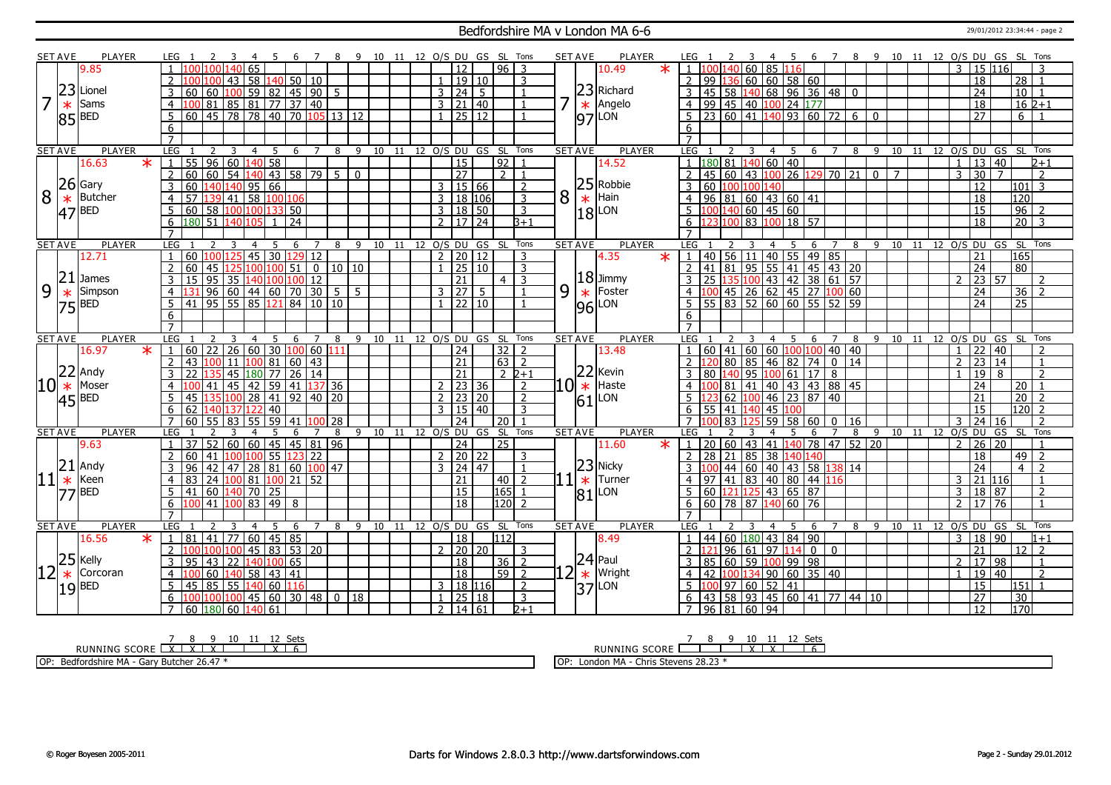#### Bedfordshire MA v London MA 6-6 29/01/2012 23:34:44 - page 2

|    | <b>SET AVE</b> | <b>PLAYER</b>        | LEG.                                    |                                              |                 | $\overline{7}$      |                |    |                       |                |                      |                 | 8 9 10 11 12 O/S DU GS SL Tons    |     | <b>SET AVE</b> | <b>PLAYER</b>                                             |                | LEG 1                                               | 4              | - 5                           |                          |                      |              |                |    |    |                                    |                 | 6 7 8 9 10 11 12 O/S DU GS SL Tons |
|----|----------------|----------------------|-----------------------------------------|----------------------------------------------|-----------------|---------------------|----------------|----|-----------------------|----------------|----------------------|-----------------|-----------------------------------|-----|----------------|-----------------------------------------------------------|----------------|-----------------------------------------------------|----------------|-------------------------------|--------------------------|----------------------|--------------|----------------|----|----|------------------------------------|-----------------|------------------------------------|
|    |                | 9.85                 | $\mathbf{1}$                            | 140<br>l 65                                  |                 |                     |                |    |                       |                | 12                   |                 | $96 \mid 3$                       |     |                | $\ast$<br>10.49                                           |                | $1 \vert 100 \vert 140 \vert 60 \vert 85 \vert 116$ |                |                               |                          |                      |              |                |    |    | 3                                  | 15 116          |                                    |
|    |                |                      | $\overline{2}$<br>100 100               | 43                                           | 58 140 50 10    |                     |                |    |                       |                | 1   19   10          |                 | $\overline{3}$                    |     |                |                                                           | $\mathcal{P}$  | 99 136 60 60 58 60                                  |                |                               |                          |                      |              |                |    |    | $\overline{18}$                    |                 | $\overline{28}$<br>$\overline{1}$  |
|    | 23             | Lionel               | $\overline{3}$<br>60                    | $60$ 100 59 82                               | $145$ 90        | 5                   |                |    |                       |                | 3 24                 | -5              | $\mathbf{1}$                      |     |                | $\begin{array}{c} \n 23 \\  \times \n \end{array}$ Angelo | 3              | 45   58   140   68   96   36   48   0               |                |                               |                          |                      |              |                |    |    | $\overline{24}$                    |                 | 10<br>$\overline{1}$               |
| 7  | $\ast$         | Sams                 | $\overline{4}$                          | 100 81 85 81 77 37 40                        |                 |                     |                |    |                       |                | 3   21   40          |                 | $\mathbf{1}$                      | ᄀ   |                |                                                           | $\overline{4}$ | 99 45 40 100 24 177                                 |                |                               |                          |                      |              |                |    |    | 18                                 |                 | $16 \, \text{2+1}$                 |
|    |                |                      |                                         |                                              |                 |                     |                |    |                       |                |                      |                 |                                   |     |                |                                                           |                |                                                     |                |                               |                          |                      |              |                |    |    |                                    |                 |                                    |
|    |                | $ 85 $ BED           | 5                                       | 60 45 78 78 40 70 105 13 12                  |                 |                     |                |    |                       |                | $1 \ 25 \ 12$        |                 |                                   |     |                | $ 97 $ LON                                                | $5-1$          | 23 60 41 140 93 60 72 6 0                           |                |                               |                          |                      |              |                |    |    | $\overline{27}$                    |                 | 6                                  |
|    |                |                      | 6                                       |                                              |                 |                     |                |    |                       |                |                      |                 |                                   |     |                |                                                           | 6              |                                                     |                |                               |                          |                      |              |                |    |    |                                    |                 |                                    |
|    |                |                      |                                         |                                              |                 |                     |                |    |                       |                |                      |                 |                                   |     |                |                                                           |                |                                                     |                |                               |                          |                      |              |                |    |    |                                    |                 |                                    |
|    | <b>SET AVE</b> | <b>PLAYER</b>        | LEG<br>2                                | $\overline{5}$<br>3<br>$\overline{4}$        | 6               | $\overline{7}$<br>8 | 9              |    | 10 11 12 0/S DU GS SL |                |                      |                 | Tons                              |     | <b>SET AVE</b> | <b>PLAYER</b>                                             | LEG            |                                                     | 3              | $\overline{4}$<br>$5^{\circ}$ | 6 7                      | $\overline{8}$       | $-9$         |                |    |    |                                    |                 | 10 11 12 0/S DU GS SL Tons         |
|    |                | $\ast$<br>16.63      | 55<br>$\sqrt{96}$                       | 60 140 58                                    |                 |                     |                |    |                       |                | 15                   |                 | 92                                |     |                | 14.52                                                     |                | 180 81                                              | $140$ 60 40    |                               |                          |                      |              |                |    |    | $\mathbf{1}$                       | 13   40         | $2 + 1$                            |
|    |                |                      | $\overline{2}$<br>60<br>60              | 54                                           | $140$ 43 58 79  | 5 <sup>7</sup>      | $\mathbf{0}$   |    |                       |                | $\overline{27}$      |                 | $\overline{2}$<br>$\mathbf{1}$    |     |                |                                                           |                | $145   60   43   100   26   129   70   21   0$      |                |                               |                          |                      |              | $\overline{7}$ |    |    | $\overline{30}$<br>3               | $\overline{7}$  | $\overline{2}$                     |
|    |                | $26$ Gary            | $\overline{3}$<br>60                    | 140 140 95 66                                |                 |                     |                |    |                       |                | $3 \mid 15 \mid 66$  |                 | $\overline{2}$                    |     | 25             | Robbie                                                    | $\overline{3}$ | 60 100 100 140                                      |                |                               |                          |                      |              |                |    |    | $\overline{12}$                    |                 | $\overline{3}$<br>101              |
| 8  | $\ast$         | <b>Butcher</b>       | $\overline{4}$<br>57<br>139             | $\overline{58}$<br>$ 41\rangle$              | 100 106         |                     |                |    |                       |                | 3   18   106         |                 | $\overline{3}$                    | 8   | $\ast$         | Hain                                                      | $\overline{4}$ | $96$ 81 60 43 60 41                                 |                |                               |                          |                      |              |                |    |    | 18                                 |                 | 120                                |
|    | <b>47</b>      | <b>BED</b>           | $5^{\circ}$<br>  60                     | 58 100 100 133 50                            |                 |                     |                |    |                       |                | 3 18 50              |                 | 3                                 |     |                | $ 18 $ LON                                                | $\overline{5}$ | $100 1\overline{40} 60 45 60$                       |                |                               |                          |                      |              |                |    |    | $\overline{15}$                    |                 | $\overline{96}$                    |
|    |                |                      | 180 51<br>6                             | 1401105                                      | 24              |                     |                |    |                       |                | $2 \mid 17 \mid 24$  |                 | B+1                               |     |                |                                                           | 6              | 100                                                 | 83 100         | $18$ $57$                     |                          |                      |              |                |    |    | $\overline{18}$                    |                 | $\overline{20}$<br>l 3             |
|    |                |                      | $\overline{7}$                          |                                              |                 |                     |                |    |                       |                |                      |                 |                                   |     |                |                                                           |                |                                                     |                |                               |                          |                      |              |                |    |    |                                    |                 |                                    |
|    | <b>SET AVE</b> | <b>PLAYER</b>        | <b>LEG</b>                              | -5                                           | 6               | 7<br>8              | 9              | 10 | 11                    |                |                      | 12 0/S DU GS SL | Tons                              |     | <b>SET AVE</b> | <b>PLAYER</b>                                             | LEG            |                                                     |                |                               | 6                        | 8<br>$\overline{7}$  | 9            | 10             |    |    |                                    | 11 12 0/S DU GS | SL Tons                            |
|    |                | 12.71                | 60 100 125<br>$\overline{1}$            | $\overline{45}$                              | 30 129 12       |                     |                |    |                       |                | $2$ 20 12            |                 | 3                                 |     |                | $\overline{\textbf{x}}$<br>4.35                           | 1 <sup>1</sup> | 40 56 11 40 55 49 85                                |                |                               |                          |                      |              |                |    |    | 21                                 |                 | 165                                |
|    |                |                      | 60<br>2<br>45 125                       | 100 100 51                                   |                 | 0 10 10             |                |    |                       | $\mathbf{1}$   | 25 10                |                 | 3                                 |     |                |                                                           |                | 2 41 81 95 55 41 45 43 20                           |                |                               |                          |                      |              |                |    |    | $\overline{24}$                    |                 | 80                                 |
|    | 21             | <b>James</b>         | $\overline{95}$<br>$\mathbf{3}$<br>15   | 35                                           | 140 100 100 12  |                     |                |    |                       |                | 21                   |                 | $\mathbf{R}$<br>4 <sup>1</sup>    |     |                | $18$ Jimmy                                                |                | 25 135 100 43 42 38 61 57                           |                |                               |                          |                      |              |                |    |    | $\mathcal{D}$                      | 23 57           | $\mathcal{L}$                      |
| 9  | $*$<br>75      | Simpson              | $\overline{4}$<br>31                    | $96 \mid 60 \mid 44 \mid 60 \mid 70 \mid 30$ |                 | 5 <sup>5</sup>      | $\overline{5}$ |    |                       |                | 3 27                 | -5              |                                   | 9   | $\frac{*}{96}$ | Foster                                                    | $\overline{4}$ | 100 45 26 62 45 27 100 60                           |                |                               |                          |                      |              |                |    |    | 24                                 |                 | 36<br>$\overline{2}$               |
|    |                | <b>BED</b>           | 5<br>41                                 | $\boxed{95}$ 55 85 121 84 10 10              |                 |                     |                |    |                       |                | $1 \ 22 \ 10$        |                 |                                   |     |                | LON                                                       |                | 55 83 52 60 60 55 52 59                             |                |                               |                          |                      |              |                |    |    | $\overline{24}$                    |                 | $\overline{25}$                    |
|    |                |                      | 6                                       |                                              |                 |                     |                |    |                       |                |                      |                 |                                   |     |                |                                                           | 6              |                                                     |                |                               |                          |                      |              |                |    |    |                                    |                 |                                    |
|    |                |                      | $\overline{7}$                          |                                              |                 |                     |                |    |                       |                |                      |                 |                                   |     |                |                                                           |                |                                                     |                |                               |                          |                      |              |                |    |    |                                    |                 |                                    |
|    | <b>SET AVE</b> | <b>PLAYER</b>        | <b>LEG</b>                              | 4                                            | 6               | 8                   | -9             | 10 | 11                    |                |                      | 12 0/S DU GS SL | Tons                              |     | <b>SET AVE</b> | <b>PLAYER</b>                                             | LEG.           |                                                     | 4              |                               | 6                        | 8                    | q            | 10             | 11 | 12 |                                    |                 | O/S DU GS SL Tons                  |
|    |                | $\ast$<br>16.97      | $60$   22<br>$\overline{1}$             | 26   60   30                                 | 100 60          |                     |                |    |                       |                | 24                   |                 | 32<br>$\overline{z}$              |     |                | 13.48                                                     |                | $60   41   60   60   100   100   40   40$           |                |                               |                          |                      |              |                |    |    | $\mathbf{1}$                       | 22   40         | $\overline{z}$                     |
|    |                |                      | $\overline{2}$<br>43                    | 11                                           | 100 81 60 43    |                     |                |    |                       |                | $\overline{21}$      |                 | $63 \mid 2$                       |     |                |                                                           | $\mathcal{P}$  |                                                     |                |                               |                          | 80 85 46 82 74 0 14  |              |                |    |    | $\overline{23}$<br>2               | 14              | $\overline{1}$                     |
|    | 22             | Andy                 | 22<br>3                                 | 45 180 77                                    | 26 14           |                     |                |    |                       |                | $\overline{21}$      |                 | $2 \, 2+1$                        |     |                | 22 Kevin                                                  |                | 80                                                  |                | 140 95 100 61 17              |                          | 8                    |              |                |    |    | $\overline{19}$                    | 8               | $\overline{2}$                     |
| 10 | $\ast$         | Moser                | $\overline{4}$<br>41                    | 45 42 59 41 137 36                           |                 |                     |                |    |                       |                |                      |                 | $\overline{z}$                    |     | $10 \ast $     |                                                           |                | 4 <sup>1</sup>                                      |                |                               |                          | 81 41 40 43 43 88 45 |              |                |    |    |                                    |                 | 20                                 |
|    |                | $45$ <sup>BED</sup>  | 5<br>45 135                             | 100                                          |                 |                     |                |    |                       |                | $2 \mid 23 \mid 36$  |                 |                                   |     |                | Haste                                                     |                |                                                     |                |                               |                          |                      |              |                |    |    | 24                                 |                 |                                    |
|    |                |                      |                                         | 28                                           | $\boxed{41}$ 92 | 40 20               |                |    |                       | 2 <sup>1</sup> | 23 20                |                 | 2                                 |     |                | LON                                                       | 5 <sup>1</sup> | 62 100                                              |                | $146$ 23 87 40                |                          |                      |              |                |    |    | 21                                 |                 | $\overline{20}$<br>-2              |
|    |                |                      | 62  140 137 122<br>6                    | 40                                           |                 |                     |                |    |                       |                | 3   15   40          |                 | $\overline{3}$                    |     | 61             |                                                           | 6              | 55 41 140                                           |                | $145$ 1                       |                          |                      |              |                |    |    | $\overline{15}$                    |                 | $120$   2                          |
|    |                |                      | $\overline{7}$<br>60<br>55 83           | 59<br>55                                     | l 41            | $100$ 28            |                |    |                       |                | $\overline{24}$      |                 | 20<br>$\overline{1}$              |     |                |                                                           | $7^{\circ}$    | 83 125                                              |                |                               |                          | $59$ 58 60 0 16      |              |                |    |    | $\overline{3}$                     | 24 16           | 2                                  |
|    | <b>SET AVE</b> | PLAYER               | LEG                                     | 5<br>4                                       | 6               | 8<br>$\overline{7}$ | 9              |    | 10 11 12 0/S DU       |                |                      | GS              | Tons<br>SL <sub>5</sub>           |     | <b>SET AVE</b> | <b>PLAYER</b>                                             | <b>LEG</b>     |                                                     | $\overline{4}$ |                               | 6                        | 8<br>7               | 9            |                |    |    | 10 11 12 0/S DU                    |                 | GS SL Tons                         |
|    |                | 9.63                 | 37<br>$\mathbf{1}$                      | 52   60   60   45   45   81   96             |                 |                     |                |    |                       |                | $\overline{24}$      |                 | $\overline{25}$                   |     |                | 11.60<br>$\star$                                          | $1 \mid$       | 20 60 43 41 140 78 47 52 20                         |                |                               |                          |                      |              |                |    |    | 2                                  | 26 20           |                                    |
|    |                |                      | 2<br>60<br>41                           | 100 100 55 123 22                            |                 |                     |                |    |                       |                | 2   20   22          |                 | 3                                 |     |                |                                                           | $\mathcal{P}$  | 28 21 85 38 1                                       |                |                               | 40 140                   |                      |              |                |    |    | 18                                 |                 | 49<br>$\overline{z}$               |
|    |                | Andy                 | 96<br>$\overline{42}$<br>3              | 47                                           | 28 81 60 100 47 |                     |                |    |                       |                | $3 \mid 24 \mid 47$  |                 | $\overline{1}$                    |     |                |                                                           | $\mathbf{3}$   | 1 በበ                                                |                | 44   60   40   43   58        |                          | 38 14                |              |                |    |    | $\overline{24}$                    |                 | $\overline{4}$<br>$\overline{2}$   |
| 11 |                | Keen                 | $\overline{4}$<br>83                    | 24   100   81   100   21   52                |                 |                     |                |    |                       |                | $\overline{21}$      |                 | 40<br>$\overline{2}$              |     |                | Turner                                                    |                | $97$   41   83   40   80   44   116                 |                |                               |                          |                      |              |                |    |    | 3                                  | 21 116          | 1                                  |
|    | $\frac{21}{*}$ | <b>77 BED</b>        | 5<br>41                                 | 60 140 70 25                                 |                 |                     |                |    |                       |                | 15                   |                 | 165                               |     |                | 23 Nicky<br>* Turne                                       | 5              | 60 $\left  121 \right  125$ 43 65 87                |                |                               |                          |                      |              |                |    |    | 3                                  | 18 87           | $\overline{2}$                     |
|    |                |                      | 6                                       | $\boxed{41}$ $\boxed{100}$ 83 $\boxed{49}$ 8 |                 |                     |                |    |                       |                | $\overline{18}$      |                 | 120<br>$\overline{z}$             |     |                | $ 81 $ LON                                                | 6              | $60$   78   87   140   60   76                      |                |                               |                          |                      |              |                |    |    | 2                                  | 17 76           | $\overline{1}$                     |
|    |                |                      |                                         |                                              |                 |                     |                |    |                       |                |                      |                 |                                   |     |                |                                                           |                |                                                     |                |                               |                          |                      |              |                |    |    |                                    |                 |                                    |
|    | <b>SET AVE</b> | <b>PLAYER</b>        | LEG                                     | $\overline{4}$<br>-5                         | 6               | 8<br>$\overline{7}$ | $\mathsf{Q}$   | 10 | 11                    |                |                      |                 | 12 O/S DU GS SL Tons              |     | <b>SET AVE</b> | <b>PLAYER</b>                                             | <b>LEG</b>     |                                                     | $\overline{4}$ | -5                            | 6                        | 8                    | $\mathsf{q}$ | 10             |    |    |                                    |                 | 11 12 0/S DU GS SL Tons            |
|    |                | $\ast$<br>16.56      | 81<br>  41<br>1                         | 60 45 85<br>$\overline{77}$                  |                 |                     |                |    |                       |                | 18                   |                 | 112                               |     |                | 8.49                                                      |                | 44 60 180 43 84 90                                  |                |                               |                          |                      |              |                |    |    | 3                                  | 18 90           | $1 + 1$                            |
|    |                |                      | $\overline{2}$                          | 45 83                                        | 53 20           |                     |                |    |                       | $\mathcal{P}$  | 20 20                |                 | 3                                 |     |                |                                                           |                | 121 96 61 97 114                                    |                |                               | $\overline{\phantom{0}}$ | $\mathbf 0$          |              |                |    |    | 21                                 |                 | $\overline{12}$<br>$\overline{2}$  |
|    |                |                      | 3<br>95<br>  43                         | 140 100 65<br>22                             |                 |                     |                |    |                       |                | 18                   |                 | $36$   2                          |     |                |                                                           | 3              | 85 60 59 100 99 98                                  |                |                               |                          |                      |              |                |    |    | 2                                  | 17 98           |                                    |
|    |                | Corcoran             | 60<br>$\overline{4}$                    | 58<br>140                                    | 43   41         |                     |                |    |                       |                | 18                   |                 | $\overline{59}$<br>$\overline{2}$ | .21 |                | $24$ Paul<br>Wright                                       | $\overline{4}$ | 42                                                  |                | $100$ 134 90 60 35 40         |                          |                      |              |                |    |    | $\mathbf{1}$                       | 19 40           | $\overline{2}$                     |
|    |                | $\frac{25}{*}$ Kelly | $\overline{85}$<br>5 <sup>5</sup><br>45 | 55 140 60                                    | 116             |                     |                |    |                       |                | 3   18   116         |                 | $\overline{2}$                    |     | $\ast$         |                                                           | $5-1$          | 1 በበ                                                | 97605241       |                               |                          |                      |              |                |    |    | $\overline{15}$                    |                 | 151                                |
|    |                | $19$ <sup>BED</sup>  | 6<br>100 100                            |                                              | 45 60 30 48     | $\overline{0}$      | 18             |    |                       | $\mathbf{1}$   | 25 18<br>2   14   61 |                 | 3<br>$2 + 1$                      |     |                | $ 37 $ LON                                                | 6              | 43 58 93 45 60 41 77 44 10<br>7 96 81 60 94         |                |                               |                          |                      |              |                |    |    | $\overline{27}$<br>$\overline{12}$ |                 | $\overline{30}$<br>170             |

<u>7 8 9 10 11 12 Sets</u><br>RUNNING SCORE <u>| X | X | X | X | T | X | 6</u>

OP: Bedfordshire MA - Gary Butcher 26.47 \*

RUNNING SCORE 7 8 9 10 X 11 X 12 Sets 6

OP: London MA - Chris Stevens 28.23 \*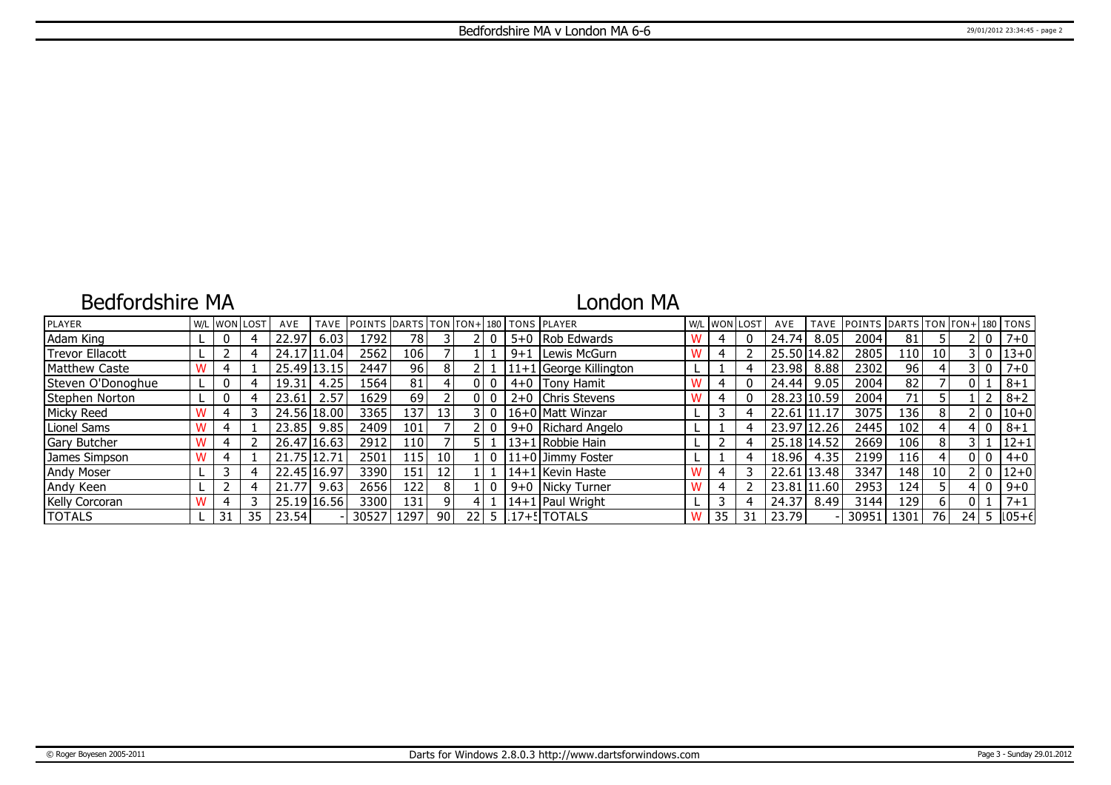## Bedfordshire MA

## London MA

| PLAYER                 |    | W/L WON LOST | AVE   | <b>TAVE</b> | POINTS DARTS TON TON+ 180 TONS PLAYER |       |                 |       |         |                          | W/L WON LOST |    | AVE         | <b>TAVE</b> | POINTS DARTS TON TON+ 180 TONS |                                            |                 |     |                |                 |
|------------------------|----|--------------|-------|-------------|---------------------------------------|-------|-----------------|-------|---------|--------------------------|--------------|----|-------------|-------------|--------------------------------|--------------------------------------------|-----------------|-----|----------------|-----------------|
| Adam King              |    |              | 22.97 | 6.03        | 1792                                  | 78    |                 |       |         | 5+0 Rob Edwards          |              |    | 24.74       | 8.05        | 2004                           | 81                                         |                 |     | - 0            | $7 + 0$         |
| <b>Trevor Ellacott</b> |    |              | 24.17 | .04         | 2562                                  | 106 l |                 |       | $9 + 1$ | Lewis McGurn             |              |    | 25.50 14.82 |             | 2805                           | 110                                        | 10 <sup>1</sup> |     | 3   0          | $13 + 0$        |
| <b>Matthew Caste</b>   |    |              |       | 25.49 13.15 | 2447                                  | 96    | 8               |       |         | $11+1$ George Killington |              |    | 23.98       | 8.88        | 2302                           | 96                                         |                 |     | 3 I O          | $7 + 0$         |
| Steven O'Donoghue      |    |              | 19.31 | 4.25        | 1564                                  | 81    |                 | 010   |         | 4+0   Tony Hamit         | 4            |    | 24.44       | 9.05        | 2004                           | 82                                         |                 | 011 |                | $8 + 1$         |
| Stephen Norton         |    |              | 23.61 | 2.57        | 16291                                 | 69    |                 | 010   |         | 2+0   Chris Stevens      | 4            |    |             | 28.23 10.59 | 2004                           | 71                                         |                 |     |                | $8 + 2$         |
| Micky Reed             |    |              |       | 24.56 18.00 | 3365                                  | 137 l | 13 <sup>1</sup> | 3 I O |         | 116+0 Matt Winzar        |              | 4  | 22.61 11.17 |             | 3075                           | 136                                        | 8               |     | 2 I O          | $ 10+0 $        |
| Lionel Sams            |    |              | 23.85 | 9.85        | 2409                                  | 101   |                 |       |         | 9+0 Richard Angelo       |              |    | 23.97 12.26 |             | 2445                           | 102                                        |                 |     | $\overline{0}$ | $8 + 1$         |
| <b>Gary Butcher</b>    |    |              |       | 26.47 16.63 | 2912                                  | 110 l |                 |       |         | 13+1 Robbie Hain         |              |    | 25.18 14.52 |             | 2669                           | 106                                        | 8               |     |                | $12+1$          |
| James Simpson          |    |              | 21.75 | 12.71       | 2501                                  | 115 l | 10 <sup>1</sup> |       |         | l 11+0 lJimmv Foster     |              |    | 18.96       | 4.35        | 2199                           | $116$ <sup><math>\overline{ }</math></sup> |                 |     | 0 I O          | $4 + 0$         |
| <b>Andy Moser</b>      |    |              |       | 22.45 16.97 | 3390 l                                | 151 l | 12 <sup>1</sup> |       |         | l 14+1 l Kevin Haste     |              |    | 22.61 13.48 |             | 3347                           | 148                                        | 10 <sup>1</sup> |     | 210            | $12+0$          |
| Andy Keen              |    |              | 21.77 | 9.63        | 2656                                  | 122   | 8               |       |         | 9+0 Nicky Turner         | 4            |    | 23.81 11.60 |             | 2953                           | 124 <sup>1</sup>                           |                 |     | 4 I O          | $9 + 0$         |
| Kelly Corcoran         |    |              |       | 25.19 16.56 | 3300l                                 | 131   | ΩI              |       |         | 14+1   Paul Wright       |              | 4  | 24.37       | 8.49        | 3144                           | 129 <sup>1</sup>                           |                 | 0 I |                | $7 + 1$         |
| <b>TOTALS</b>          | 31 | 35           | 23.54 |             | 305271                                | 1297  | -90 l           |       |         | 22 5 117+5 TOTALS        | 35           | 31 | 23.79       |             | 30951                          | 1301                                       | 76              |     |                | $24$ 5 $ 105+6$ |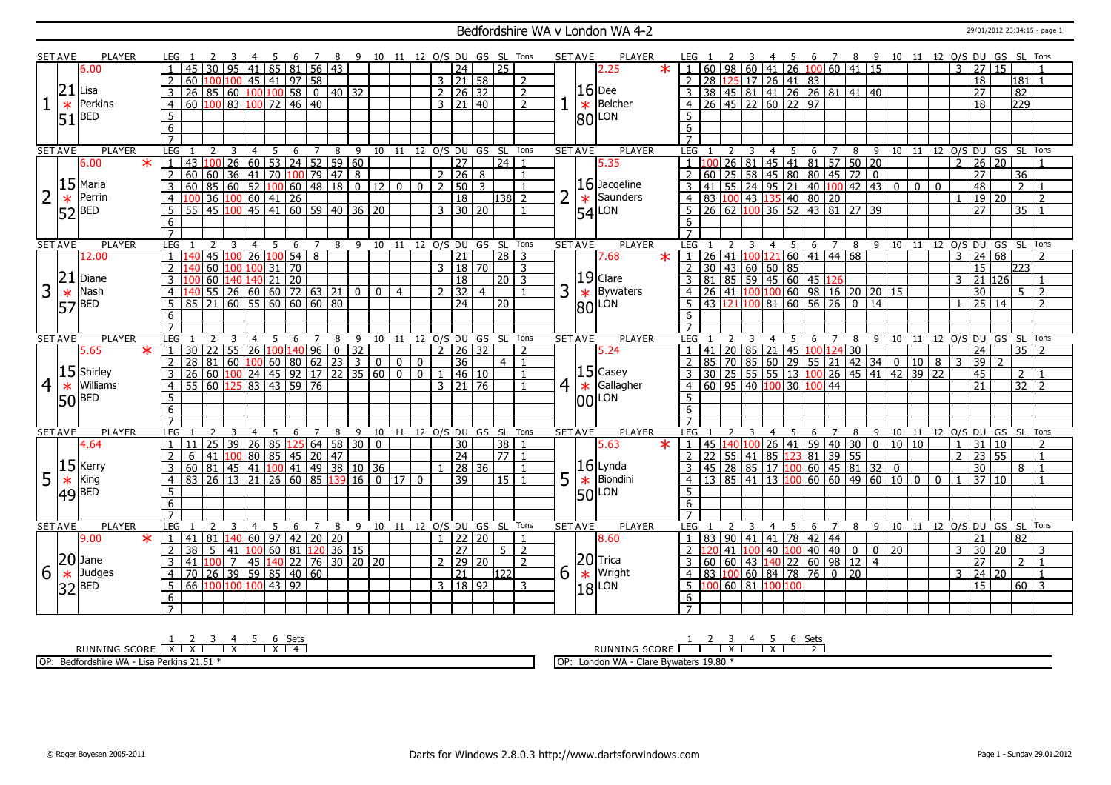### Bedfordshire WA v London WA 4-2 2001/2012 23:34:15 - page 1

|   | <b>SET AVE</b> | <b>PLAYER</b>       |                         | LEG 1            |                                                                                                    |    |        |                | - 5 | -6                             | $\overline{7}$     | -8           |                                                     | 9 10 11 12 O/S DU GS SL Tons |                |                |                |                      |                            |                   |                | <b>SET AVE</b> |                | <b>PLAYER</b>       |         | LEG 1           |             |                    |       |                                                     | 4 5                                                                                        |                                                   |                            |                  |             |       |                |              |               |                                  |         | 6 7 8 9 10 11 12 O/S DU GS SL Tons |                |
|---|----------------|---------------------|-------------------------|------------------|----------------------------------------------------------------------------------------------------|----|--------|----------------|-----|--------------------------------|--------------------|--------------|-----------------------------------------------------|------------------------------|----------------|----------------|----------------|----------------------|----------------------------|-------------------|----------------|----------------|----------------|---------------------|---------|-----------------|-------------|--------------------|-------|-----------------------------------------------------|--------------------------------------------------------------------------------------------|---------------------------------------------------|----------------------------|------------------|-------------|-------|----------------|--------------|---------------|----------------------------------|---------|------------------------------------|----------------|
|   |                | 6.00                |                         |                  | 45                                                                                                 | 30 |        |                |     | 95 41 85 81                    |                    | $56 \mid 43$ |                                                     |                              |                |                |                | $\overline{24}$      |                            | 25                |                |                |                | 2.25                | $\star$ |                 |             |                    |       |                                                     |                                                                                            | $1   60   98   60   41   26   100   60   41   15$ |                            |                  |             |       |                |              | 3             | $\overline{27}$                  | 15      |                                    |                |
|   |                |                     |                         | 2                | 60                                                                                                 |    |        |                |     | $100 100 $ 45   41   97   58   |                    |              |                                                     |                              |                |                |                | $3 \mid 21 \mid 58$  |                            |                   | $\overline{z}$ |                |                |                     |         |                 |             |                    |       |                                                     | 2 28 125 17 26 41 83                                                                       |                                                   |                            |                  |             |       |                |              |               | $\overline{18}$                  |         | $\overline{181}$                   |                |
|   | 21             | Lisa                |                         |                  | $\overline{26}$                                                                                    |    |        |                |     | $\boxed{85}$ 60 100 100 58     | $\overline{\circ}$ |              | $40 \overline{)32}$                                 |                              |                |                |                | $2 \mid 26 \mid 32$  |                            |                   | 2              |                |                | $16$ Dee            |         |                 |             |                    |       |                                                     |                                                                                            | 3 38 45 81 41 26 26 81 41 40                      |                            |                  |             |       |                |              |               | $\overline{27}$                  |         | 82                                 |                |
|   |                |                     |                         |                  |                                                                                                    |    |        |                |     |                                |                    |              |                                                     |                              |                |                |                |                      |                            |                   |                |                |                | Belcher             |         |                 |             |                    |       |                                                     |                                                                                            |                                                   |                            |                  |             |       |                |              |               |                                  |         |                                    |                |
|   | $\ast$         | Perkins             |                         | $\overline{4}$   | 60 100 83 100 72 46 40                                                                             |    |        |                |     |                                |                    |              |                                                     |                              |                |                |                | $3 \mid 21 \mid 40$  |                            |                   | $\overline{2}$ |                | $\ast$         |                     |         |                 |             |                    |       |                                                     | $4 \overline{)26 \overline{)45 \overline{)22 \overline{)60 \overline{)22 \overline{)97}}}$ |                                                   |                            |                  |             |       |                |              |               | $\overline{18}$                  |         | 729                                |                |
|   | 51             | <b>BED</b>          |                         | 5                |                                                                                                    |    |        |                |     |                                |                    |              |                                                     |                              |                |                |                |                      |                            |                   |                |                | 80             | LON                 |         | 5               |             |                    |       |                                                     |                                                                                            |                                                   |                            |                  |             |       |                |              |               |                                  |         |                                    |                |
|   |                |                     |                         | 6                |                                                                                                    |    |        |                |     |                                |                    |              |                                                     |                              |                |                |                |                      |                            |                   |                |                |                |                     |         | 6               |             |                    |       |                                                     |                                                                                            |                                                   |                            |                  |             |       |                |              |               |                                  |         |                                    |                |
|   |                |                     |                         | $\overline{7}$   |                                                                                                    |    |        |                |     |                                |                    |              |                                                     |                              |                |                |                |                      |                            |                   |                |                |                |                     |         | $\overline{7}$  |             |                    |       |                                                     |                                                                                            |                                                   |                            |                  |             |       |                |              |               |                                  |         |                                    |                |
|   | <b>SET AVE</b> | <b>PLAYER</b>       |                         | LEG              |                                                                                                    |    | 3      | $\overline{4}$ | 5   | 6                              | $\overline{7}$     | 8            | 9                                                   |                              |                |                |                |                      | 10 11 12 O/S DU GS SL Tons |                   |                | <b>SET AVE</b> |                | PLAYER              |         | LEG             |             |                    |       | $\overline{4}$                                      | 5                                                                                          | 6                                                 | $\overline{7}$             |                  | $8 \quad 9$ |       |                |              |               |                                  |         | 10 11 12 0/S DU GS SL Tons         |                |
|   |                | 6.00                | $\ast$                  |                  | $\overline{43}$                                                                                    |    |        |                |     |                                |                    |              | 26 60 53 24 52 59 60                                |                              |                |                |                | $\overline{27}$      |                            | 24                |                |                |                | 5.35                |         |                 |             |                    | 26 81 |                                                     |                                                                                            | 45 41 81 57 50 20                                 |                            |                  |             |       |                |              | $\mathcal{P}$ | $\overline{26}$                  | 20      |                                    |                |
|   |                |                     |                         | $\overline{2}$   | 60                                                                                                 | 60 |        |                |     | 36 41 70 100 79 47             |                    |              | $\sqrt{8}$                                          |                              |                |                |                | 2 26                 | 8                          |                   |                |                |                |                     |         |                 |             |                    |       |                                                     |                                                                                            |                                                   |                            |                  |             |       |                |              |               | $\overline{27}$                  |         | 36                                 |                |
|   |                | $15$ Maria          |                         | 3                | 60                                                                                                 |    |        |                |     |                                |                    |              |                                                     |                              | $\overline{0}$ | ∣ o I          |                | 2   50               | 3                          |                   |                |                |                | $16$ Jacqeline      |         |                 |             |                    |       |                                                     |                                                                                            |                                                   |                            |                  |             |       | $\overline{0}$ | $\mathbf 0$  |               | $\overline{48}$                  |         | $\overline{2}$                     | $\overline{1}$ |
|   | $\ast$         | Perrin              |                         | $\overline{4}$   |                                                                                                    |    |        |                |     |                                |                    |              | 85 60 52 100 60 48 18 0 12<br>36 100 60 41 26       |                              |                |                |                | $\overline{18}$      |                            | $138$ 2           |                |                | $\ast$         | Saunders            |         |                 |             |                    |       |                                                     |                                                                                            |                                                   |                            |                  |             |       |                |              |               |                                  | $19$ 20 |                                    | $\mathcal{L}$  |
|   |                | $52$ <sup>BED</sup> |                         | $5^{\circ}$      | 55 45 100 45 41 60 59 40 36 20                                                                     |    |        |                |     |                                |                    |              |                                                     |                              |                |                |                | 3 30 20              |                            |                   |                |                | 54             | LON                 |         |                 |             |                    |       |                                                     |                                                                                            | $5$   26   62   100   36   52   43   81   27   39 |                            |                  |             |       |                |              |               | 27                               |         | $35$   1                           |                |
|   |                |                     |                         | -6               |                                                                                                    |    |        |                |     |                                |                    |              |                                                     |                              |                |                |                |                      |                            |                   |                |                |                |                     |         | 6               |             |                    |       |                                                     |                                                                                            |                                                   |                            |                  |             |       |                |              |               |                                  |         |                                    |                |
|   |                |                     |                         | $\overline{7}$   |                                                                                                    |    |        |                |     |                                |                    |              |                                                     |                              |                |                |                |                      |                            |                   |                |                |                |                     |         | $\overline{7}$  |             |                    |       |                                                     |                                                                                            |                                                   |                            |                  |             |       |                |              |               |                                  |         |                                    |                |
|   | <b>SET AVE</b> | <b>PLAYER</b>       |                         | LEG <sub>1</sub> |                                                                                                    |    |        | $\overline{4}$ | 5   | - 6                            | $\overline{7}$     |              | 8 9 10 11 12 O/S DU GS SL Tons                      |                              |                |                |                |                      |                            |                   |                | <b>SET AVE</b> |                | <b>PLAYER</b>       |         | LEG             |             |                    |       |                                                     |                                                                                            | 4 5 6 7 8 9 10 11 12 O/S DU GS SL Tons            |                            |                  |             |       |                |              |               |                                  |         |                                    |                |
|   |                | 12.00               |                         | $\mathbf{1}$     |                                                                                                    | 45 | 100    |                |     | 26 100 54                      | 8                  |              |                                                     |                              |                |                |                | 21                   |                            | 28                | 3              |                |                | 7.68                | $\ast$  |                 |             |                    |       |                                                     |                                                                                            | $1 \ 26 \ 41 \ 100 \ 121 \ 60 \ 41 \ 44 \ 68$     |                            |                  |             |       |                |              |               | 3   24   68                      |         |                                    | $\mathcal{L}$  |
|   |                |                     |                         | $\overline{2}$   |                                                                                                    | 60 | 001100 |                | 31  | $\overline{70}$                |                    |              |                                                     |                              |                |                |                | 3   18   70          |                            |                   | 3              |                |                |                     |         |                 |             |                    |       |                                                     | $2$ 30 43 60 60 85                                                                         |                                                   |                            |                  |             |       |                |              |               | $\overline{15}$                  |         | 223                                |                |
|   | 21             | Diane               |                         |                  |                                                                                                    | 60 |        |                |     | 140 140 21 20                  |                    |              |                                                     |                              |                |                |                | 18                   |                            | $20 \mid 3$       |                |                |                | $ 19 $ Clare        |         |                 |             |                    |       |                                                     |                                                                                            | 3   81   85   59   45   60   45                   | 126                        |                  |             |       |                |              |               | $3$ 21 126                       |         |                                    |                |
|   |                | Nash                |                         |                  |                                                                                                    |    |        |                |     |                                |                    |              |                                                     |                              |                |                | $\overline{2}$ |                      |                            |                   |                |                |                |                     |         |                 |             |                    |       |                                                     |                                                                                            |                                                   |                            |                  |             |       |                |              |               |                                  |         | $5-1$                              | $\overline{2}$ |
|   | $\ast$         |                     |                         | $\overline{4}$   |                                                                                                    | 55 |        |                |     | 26   60   60   72   63   21    |                    |              | $\overline{0}$                                      | $\mathbf{0}$                 | $\overline{4}$ |                |                | 32                   | $\overline{4}$             |                   |                | 3              |                | <b>Bywaters</b>     |         | $\overline{4}$  |             |                    |       |                                                     |                                                                                            | 26 41 100 100 60 98 16 20 20 15                   |                            |                  |             |       |                |              |               | 30                               |         |                                    |                |
|   |                | $57$ <sup>BED</sup> |                         |                  |                                                                                                    |    |        |                |     | $\boxed{21}$ 60 55 60 60 60 80 |                    |              |                                                     |                              |                |                |                | $\overline{24}$      |                            | 20                |                |                |                | $\frac{*}{80}$ Bywa |         |                 |             |                    |       |                                                     |                                                                                            | 43 121 100 81 60 56 26                            |                            | $0$ 14           |             |       |                |              |               |                                  | 25 14   |                                    | $\overline{2}$ |
|   |                |                     |                         | 6                |                                                                                                    |    |        |                |     |                                |                    |              |                                                     |                              |                |                |                |                      |                            |                   |                |                |                |                     |         | 6               |             |                    |       |                                                     |                                                                                            |                                                   |                            |                  |             |       |                |              |               |                                  |         |                                    |                |
|   |                |                     |                         | $\overline{7}$   |                                                                                                    |    |        |                |     |                                |                    |              |                                                     |                              |                |                |                |                      |                            |                   |                |                |                |                     |         | $\overline{7}$  |             |                    |       |                                                     |                                                                                            |                                                   |                            |                  |             |       |                |              |               |                                  |         |                                    |                |
|   |                |                     |                         |                  |                                                                                                    |    |        |                |     |                                |                    |              |                                                     |                              |                |                |                |                      |                            |                   |                |                |                |                     |         |                 |             |                    |       | 4                                                   | -5                                                                                         |                                                   |                            |                  |             |       |                |              |               | 12 O/S DU GS SL                  |         |                                    | Tons           |
|   | <b>SET AVE</b> | <b>PLAYER</b>       |                         | LEG              |                                                                                                    |    |        | 4              | -5  | 6                              | 7                  | 8            | 9                                                   | 10                           | 11             |                |                | 12 O/S DU GS SL Tons |                            |                   |                |                | <b>SET AVE</b> | <b>PLAYER</b>       |         | <b>LEG</b>      |             |                    |       |                                                     |                                                                                            | 6                                                 |                            | 8                | 9           | 10 11 |                |              |               |                                  |         |                                    |                |
|   |                | 5.65                | $\overline{\mathbf{x}}$ | $\overline{1}$   | $\overline{30}$                                                                                    |    |        |                |     |                                |                    |              |                                                     |                              |                |                |                | $2 \mid 26 \mid 32$  |                            |                   | $\overline{2}$ |                |                | 5.24                |         |                 |             |                    |       |                                                     |                                                                                            |                                                   |                            |                  |             |       |                |              |               | 24                               |         | 35                                 |                |
|   |                |                     |                         | $\overline{2}$   | <sup>28</sup>                                                                                      |    |        |                |     |                                |                    |              | 22 55 26 100 140 96 0 32<br>81 60 100 60 80 62 23 3 | $\overline{0}$               | $\overline{0}$ | $\Omega$       |                | 36                   |                            | $4 \mid 1$        |                |                |                |                     |         |                 |             |                    |       |                                                     |                                                                                            |                                                   |                            |                  |             |       | 10 8           |              | 3             | 39                               |         |                                    |                |
|   |                | $15$ Shirley        |                         | 3                |                                                                                                    |    |        |                |     |                                |                    |              |                                                     |                              | $\overline{0}$ | $\overline{0}$ |                | 1   46   10          |                            |                   |                |                |                | $15$ Casey          |         |                 |             |                    |       |                                                     |                                                                                            |                                                   |                            |                  |             |       | 39 22          |              |               | 45                               |         | 2                                  |                |
|   |                | $4 \times$ Williams |                         | $\overline{4}$   |                                                                                                    |    |        |                |     |                                |                    |              |                                                     |                              |                |                |                | $3 \mid 21 \mid 76$  |                            |                   |                | $\overline{4}$ | $\ast$         | Gallagher           |         |                 |             |                    |       |                                                     |                                                                                            | 4 60 95 40 100 30 100 44                          |                            |                  |             |       |                |              |               | $\overline{21}$                  |         | $\overline{32}$   2                |                |
|   |                |                     |                         | $5\overline{)}$  | <u>  26   60   100   24   45   92   17   22   35   60  </u><br>  55   60   125   83   43   59   76 |    |        |                |     |                                |                    |              |                                                     |                              |                |                |                |                      |                            |                   |                |                |                | LON                 |         | 5 <sup>7</sup>  |             |                    |       |                                                     |                                                                                            |                                                   |                            |                  |             |       |                |              |               |                                  |         |                                    |                |
|   |                | $50$ <sup>BED</sup> |                         | 6                |                                                                                                    |    |        |                |     |                                |                    |              |                                                     |                              |                |                |                |                      |                            |                   |                |                | 100            |                     |         | 6               |             |                    |       |                                                     |                                                                                            |                                                   |                            |                  |             |       |                |              |               |                                  |         |                                    |                |
|   |                |                     |                         | $\overline{7}$   |                                                                                                    |    |        |                |     |                                |                    |              |                                                     |                              |                |                |                |                      |                            |                   |                |                |                |                     |         | $\overline{7}$  |             |                    |       |                                                     |                                                                                            |                                                   |                            |                  |             |       |                |              |               |                                  |         |                                    |                |
|   | <b>SET AVE</b> | <b>PLAYER</b>       |                         | LEG              |                                                                                                    |    |        | $\overline{4}$ | 5   | 6                              | $\overline{7}$     | 8            | 9                                                   | 10 11 12 0/S DU GS SL Tons   |                |                |                |                      |                            |                   |                | <b>SET AVE</b> |                | <b>PLAYER</b>       |         | <b>LEG</b>      |             |                    |       | $\overline{4}$                                      | 5                                                                                          | 6                                                 | $\overline{7}$             | $8 \overline{9}$ |             |       |                |              |               |                                  |         | 10 11 12 0/S DU GS SL Tons         |                |
|   |                | 4.64                |                         |                  |                                                                                                    | 25 | 39     | 26             |     | 85 125                         |                    |              | $64$ 58 30                                          | l 0                          |                |                |                | 30                   |                            | 38                | $\overline{1}$ |                |                | 5.63                | $\ast$  |                 |             | 1   45   140   100 |       |                                                     |                                                                                            | 26   41   59   40   30   0                        |                            |                  |             | 10 10 |                |              |               | $1 \mid 31 \mid 10$              |         |                                    | $\overline{2}$ |
|   |                |                     |                         | $\overline{2}$   | 6                                                                                                  | 41 |        |                |     |                                |                    | 47           |                                                     |                              |                |                |                | $\sqrt{24}$          |                            | $\overline{77}$ 1 |                |                |                |                     |         |                 | $2 \mid 22$ |                    | 41    |                                                     | 85 123                                                                                     |                                                   |                            |                  |             |       |                |              |               |                                  |         |                                    | $\overline{1}$ |
|   |                |                     |                         | 3                | 60                                                                                                 | 81 |        |                |     | 80 85 45                       | $ 20\rangle$       |              |                                                     |                              |                |                |                | 28 36                |                            |                   |                |                |                |                     |         | $\overline{3}$  |             | 55                 |       |                                                     |                                                                                            | 81                                                | 39 55                      |                  |             |       |                |              |               | $2 \overline{)23 \overline{)55}$ |         | 8 <sup>1</sup>                     |                |
|   |                | $15$ Kerry          |                         |                  |                                                                                                    |    |        |                |     | 45 41 100 41                   |                    |              | 49 38 10 36                                         |                              |                |                |                |                      |                            |                   |                |                |                | $16$  Lynda         |         |                 |             |                    |       | 45 28 85 17 100                                     |                                                                                            |                                                   | 60   45   81   32   0      |                  |             |       |                |              |               | $\overline{30}$                  |         |                                    |                |
| 5 | $\ast$         | King                |                         | $\overline{4}$   | 83 26 13 21 26 60 85                                                                               |    |        |                |     |                                |                    |              | 139 16                                              | 0 <sup>1</sup>               | 17             | $\overline{0}$ |                | 39                   |                            | 15 <sup>1</sup>   |                | 5              | $\ast$         | Biondini            |         |                 |             |                    |       | 4 13 85 41 13 100                                   |                                                                                            |                                                   | 60   60   49   60   10   0 |                  |             |       |                | $\mathbf{0}$ |               |                                  | 37 10   |                                    |                |
|   |                | $ 49 ^{BED}$        |                         | 5                |                                                                                                    |    |        |                |     |                                |                    |              |                                                     |                              |                |                |                |                      |                            |                   |                |                |                | $ 50 $ LON          |         | $5\overline{5}$ |             |                    |       |                                                     |                                                                                            |                                                   |                            |                  |             |       |                |              |               |                                  |         |                                    |                |
|   |                |                     |                         | 6                |                                                                                                    |    |        |                |     |                                |                    |              |                                                     |                              |                |                |                |                      |                            |                   |                |                |                |                     |         | 6               |             |                    |       |                                                     |                                                                                            |                                                   |                            |                  |             |       |                |              |               |                                  |         |                                    |                |
|   |                |                     |                         | $\overline{7}$   |                                                                                                    |    |        |                |     |                                |                    |              |                                                     |                              |                |                |                |                      |                            |                   |                |                |                |                     |         | $\overline{7}$  |             |                    |       |                                                     |                                                                                            |                                                   |                            |                  |             |       |                |              |               |                                  |         |                                    |                |
|   | <b>SET AVE</b> | <b>PLAYER</b>       |                         | LEG              |                                                                                                    |    |        | $\overline{4}$ | -5  | 6                              | $\overline{7}$     | 8            | 9                                                   | 10                           | 11             |                |                |                      | 12 O/S DU GS SL            |                   | Tons           | <b>SET AVE</b> |                | <b>PLAYER</b>       |         | LEG             |             |                    |       |                                                     | 5.                                                                                         | 6                                                 | 7                          | 8                | 9           |       | 10 11          |              |               | 12 0/S DU GS SL                  |         |                                    | Tons           |
|   |                | 9.00                | $\ast$                  | $\overline{1}$   | 41                                                                                                 | 81 |        |                |     | $ 140 $ 60   97   42   20   20 |                    |              |                                                     |                              |                |                |                | $1 \mid 22 \mid 20$  |                            |                   | $\overline{1}$ |                |                | 8.60                |         |                 |             |                    |       |                                                     | 1   83   90   41   41   78                                                                 |                                                   | 42 44                      |                  |             |       |                |              |               | 21                               |         | 82                                 |                |
|   |                |                     |                         | $\overline{2}$   | 38                                                                                                 | -5 | 41     | 1100           |     | 60 81                          | 120                |              | 36 15                                               |                              |                |                |                | 27                   |                            | 5 I               | $\overline{2}$ |                |                |                     |         | 2               |             | 41   I             |       |                                                     | 40 100                                                                                     | 40                                                | 40                         | $\overline{0}$   |             |       |                |              | 3             | $\overline{30}$                  | 20      |                                    | 3              |
|   |                | $ 20 $ Jane         |                         | 3                | 41                                                                                                 |    |        |                |     | 7   45   140   22              |                    |              | 76 30 20 20                                         |                              |                |                |                | $2 \mid 29 \mid 20$  |                            |                   | $\overline{2}$ |                |                | $ 20 $ Trica        |         | 3               |             |                    |       |                                                     |                                                                                            |                                                   | 60 98                      | $12 \mid 4$      |             |       |                |              |               | 27                               |         | $\overline{2}$                     | $\overline{1}$ |
| 6 | $\ast$         | Judges              |                         | $\overline{4}$   | $\overline{70}$                                                                                    |    |        |                |     | $\sqrt{26}$ 39 59 85 40 60     |                    |              |                                                     |                              |                |                |                | $\overline{21}$      |                            | 122               |                | 6              | $\ast$         | Wright              |         |                 |             |                    |       |                                                     |                                                                                            | $4$ 83 100 60 84 78 76 0                          |                            | $\overline{20}$  |             |       |                |              | 3             | 24                               | 20      |                                    | $\overline{1}$ |
|   |                |                     |                         | 5                | 66 100 100 100 43 92                                                                               |    |        |                |     |                                |                    |              |                                                     |                              |                |                |                | 3   18   92          |                            |                   | 3              |                |                | LON                 |         |                 |             |                    |       | $5 \vert 100 \vert 60 \vert 81 \vert 100 \vert 100$ |                                                                                            |                                                   |                            |                  |             |       |                |              |               | $\overline{15}$                  |         | 60 <sup>1</sup>                    | -3             |
|   |                | $32$ <sup>BED</sup> |                         | 6                |                                                                                                    |    |        |                |     |                                |                    |              |                                                     |                              |                |                |                |                      |                            |                   |                |                | 18             |                     |         | 6               |             |                    |       |                                                     |                                                                                            |                                                   |                            |                  |             |       |                |              |               |                                  |         |                                    |                |

RUNNING SCORE <u>| X | X | X | X | 4</u><br>RUNNING SCORE <u>| X | X | X | X | 4</u>

OP: Bedfordshire WA - Lisa Perkins 21.51 \*

RUNNING SCORE 1 2 3 X 4 5 X 6 Sets 2 OP: London WA - Clare Bywaters 19.80 \*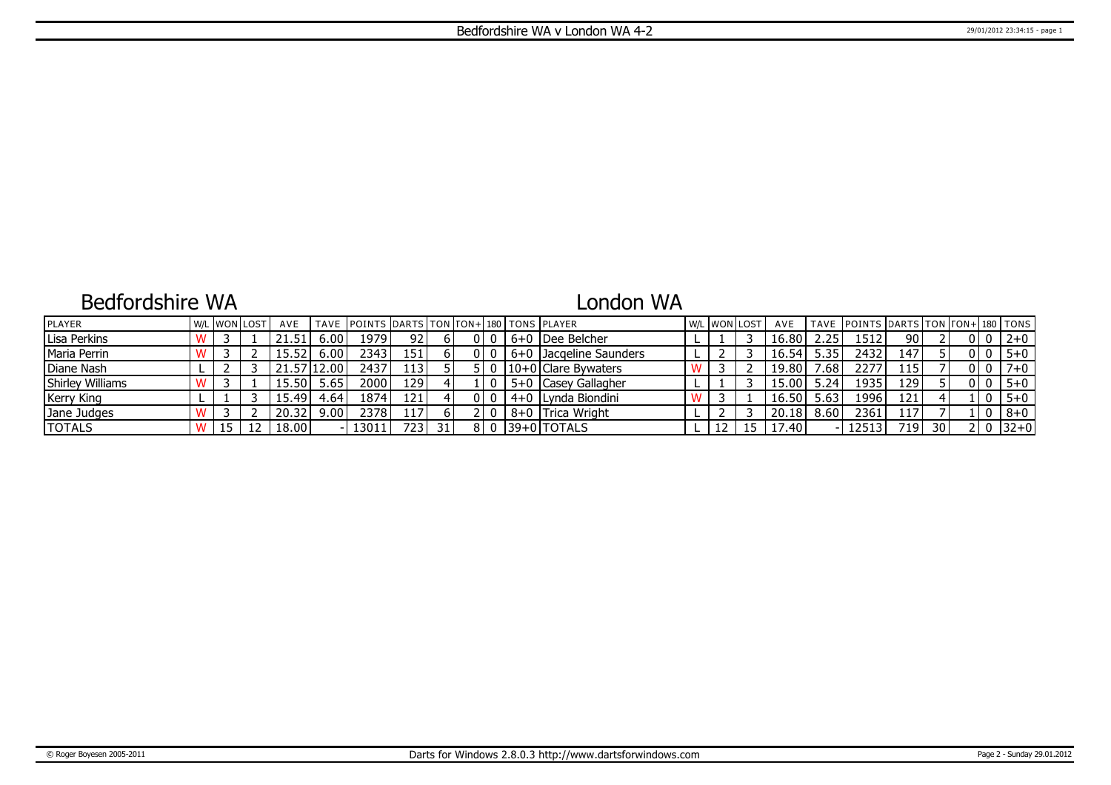## Bedfordshire WA

# London WA

| <b>IPLAYER</b>          |  | W/L WON LOST | AVE   |        | TAVE IPOINTS IDARTS ITON ITON+1180 I TONS IPLAYER |                  |  |     |                         | W/L WON LOST | AVE   |                  | TAVE POINTS DARTS TON TON+ 180 TONS |                  |                 |       |         |
|-------------------------|--|--------------|-------|--------|---------------------------------------------------|------------------|--|-----|-------------------------|--------------|-------|------------------|-------------------------------------|------------------|-----------------|-------|---------|
| Lisa Perkins            |  |              |       | 6.00   | 19791                                             | 92.              |  |     | 6+0  Dee Belcher        |              | 16.80 | $2.25^{\circ}$   | 1512                                | 90 I             |                 |       | $2 + 0$ |
| Maria Perrin            |  |              |       | 6.00   | 2343                                              | 151 I            |  |     | 16+0 Dacgeline Saunders |              | 16.54 | 5.35             | 2432                                | 147'             |                 | 0   0 | $5 + 0$ |
| Diane Nash              |  |              |       | 12.00' | 2437                                              | 113'             |  |     | $ 10+0 $ Clare Bywaters |              | 19.80 | .68 <sup>°</sup> | 2277                                | 115 <sup>1</sup> |                 | 0   0 | $7 + 0$ |
| <b>Shirley Williams</b> |  |              | 15.50 | 5.65   | 2000 l                                            | 129 l            |  |     | 5+0 Casey Gallagher     |              | 15.00 | 5.24             | 1935                                | 129 <sup>1</sup> |                 |       | $5 + 0$ |
| <b>Kerry King</b>       |  |              | 15.49 | ' 64،، | 1874                                              | 121              |  |     | 4+0 Lvnda Biondini      |              | 16.50 | 5.63             | 1996                                | 121'             |                 |       | $5 + 0$ |
| Jane Judges             |  |              | 20.32 | 9.00   | 23781                                             | 117 <sup>1</sup> |  |     | 8+0 Trica Wright        |              | 20.18 | 8.60             | 2361                                | 117'             |                 |       | $8+0$   |
| <b>TOTALS</b>           |  |              | 18.00 |        | 13011                                             | 723 I            |  | 810 | $ 39+0 $ TOTALS         |              | 17.40 |                  | 12513                               | 719              | 30 <sup>1</sup> | 2 I O | $32+0$  |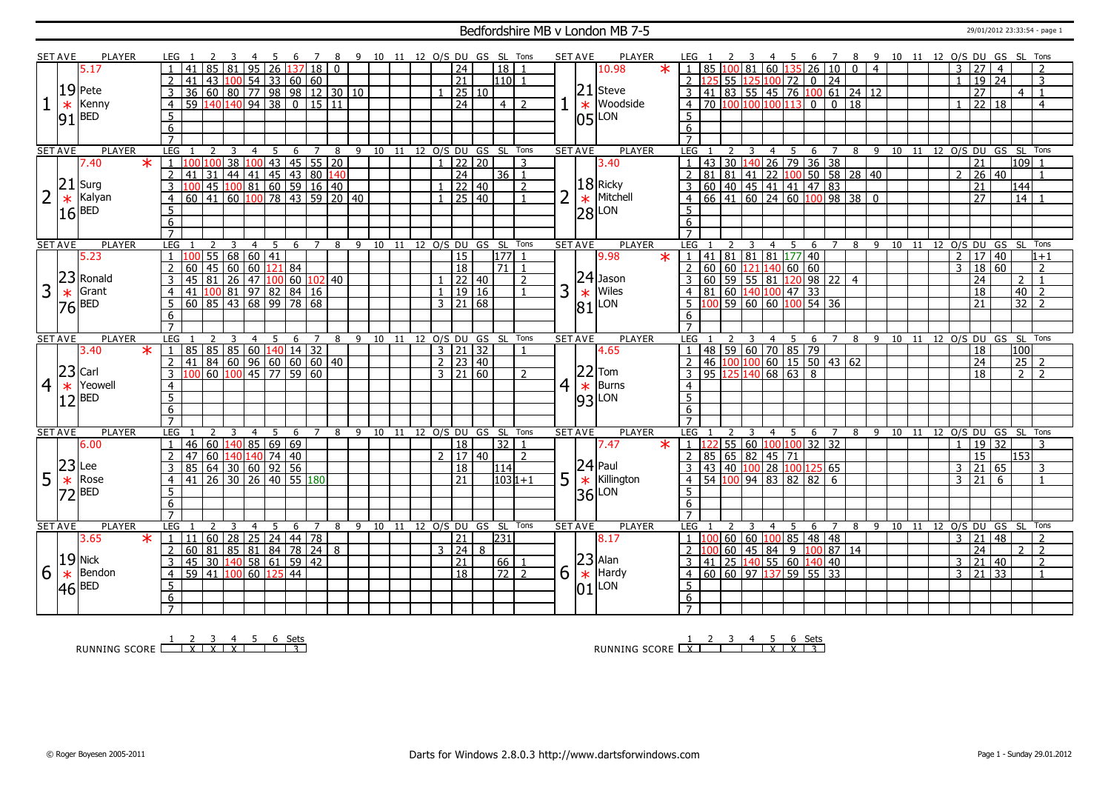### Bedfordshire MB v London MB 7-5 29/01/2012 23:33:54 - page 1

|                | <b>SET AVE</b> | PLAYER        |               | LEG 1                             |                       |                |                                                                                                                                                            | -4                | - 5 | - 6             | $\overline{7}$ |                 |   |    |    |    |                     |       | 8 9 10 11 12 O/S DU GS SL Tons |                   | <b>SET AVE</b> |    | PLAYER                                                   | LEG 1                 |                                                                                                                                                                                                                                                                    |                             |     |                | 4 5 |               |                                 |                      |                                    |                | 6 7 8 9 10 11 12 O/S DU GS SL Tons |  |               |                       |                 |                  |                |  |
|----------------|----------------|---------------|---------------|-----------------------------------|-----------------------|----------------|------------------------------------------------------------------------------------------------------------------------------------------------------------|-------------------|-----|-----------------|----------------|-----------------|---|----|----|----|---------------------|-------|--------------------------------|-------------------|----------------|----|----------------------------------------------------------|-----------------------|--------------------------------------------------------------------------------------------------------------------------------------------------------------------------------------------------------------------------------------------------------------------|-----------------------------|-----|----------------|-----|---------------|---------------------------------|----------------------|------------------------------------|----------------|------------------------------------|--|---------------|-----------------------|-----------------|------------------|----------------|--|
|                |                | 5.17          |               |                                   | 41                    | 85             | l 81                                                                                                                                                       | 95 26             |     |                 | 137 18         | $\Omega$        |   |    |    |    | $\overline{24}$     |       | $\overline{18}$                |                   |                |    | 10.98<br>$\star$                                         |                       | 85                                                                                                                                                                                                                                                                 | LOO 81                      |     | $60$ 135       |     |               |                                 |                      | 26 10 0                            | $\overline{4}$ |                                    |  | 3             | 27                    | $\overline{4}$  |                  | $\overline{2}$ |  |
|                |                |               |               | $\overline{2}$                    | 41                    |                | 43 100 54 33 60 60                                                                                                                                         |                   |     |                 |                |                 |   |    |    |    | $\overline{21}$     |       | $1110$ 1                       |                   |                |    |                                                          |                       |                                                                                                                                                                                                                                                                    | 55 125 100 72               |     |                |     |               | $0$ 24                          |                      |                                    |                |                                    |  |               | 19                    | $\overline{24}$ |                  | 3              |  |
|                |                | $19$ Pete     |               | $\overline{3}$                    |                       |                |                                                                                                                                                            |                   |     |                 |                |                 |   |    |    |    |                     | 25 10 |                                |                   |                | 21 | Steve                                                    |                       | 41                                                                                                                                                                                                                                                                 |                             |     |                |     |               |                                 |                      | $\boxed{83}$ 55 45 76 100 61 24 12 |                |                                    |  |               | $\overline{27}$       |                 |                  | $\overline{1}$ |  |
|                |                |               |               |                                   |                       |                |                                                                                                                                                            |                   |     |                 |                |                 |   |    |    |    |                     |       |                                |                   |                |    |                                                          |                       |                                                                                                                                                                                                                                                                    |                             |     |                |     |               |                                 |                      |                                    |                |                                    |  |               |                       |                 | 4                |                |  |
|                | $\ast$         | Kenny         |               | $\overline{4}$                    |                       |                |                                                                                                                                                            |                   |     |                 |                |                 |   |    |    |    | $\overline{24}$     |       | $\vert 4 \vert$                | $\overline{z}$    |                |    | Woodside<br>$\ast$                                       | $\overline{4}$        | 70 100 100 100 113 0 0 18                                                                                                                                                                                                                                          |                             |     |                |     |               |                                 |                      |                                    |                |                                    |  |               | 22 18                 |                 |                  | $\overline{4}$ |  |
|                | 91             | <b>BED</b>    |               | 5                                 |                       |                |                                                                                                                                                            |                   |     |                 |                |                 |   |    |    |    |                     |       |                                |                   |                |    | LON<br>105'                                              | 5                     |                                                                                                                                                                                                                                                                    |                             |     |                |     |               |                                 |                      |                                    |                |                                    |  |               |                       |                 |                  |                |  |
|                |                |               |               | 6                                 |                       |                |                                                                                                                                                            |                   |     |                 |                |                 |   |    |    |    |                     |       |                                |                   |                |    |                                                          | 6                     |                                                                                                                                                                                                                                                                    |                             |     |                |     |               |                                 |                      |                                    |                |                                    |  |               |                       |                 |                  |                |  |
|                |                |               |               | $\overline{7}$                    |                       |                |                                                                                                                                                            |                   |     |                 |                |                 |   |    |    |    |                     |       |                                |                   |                |    |                                                          |                       |                                                                                                                                                                                                                                                                    |                             |     |                |     |               |                                 |                      |                                    |                |                                    |  |               |                       |                 |                  |                |  |
|                | <b>SET AVE</b> | <b>PLAYER</b> |               | <b>LEG</b>                        |                       | 2              | 3                                                                                                                                                          | $\overline{4}$    | -5  | 6               | $\overline{7}$ | 8               |   |    |    |    | 9 10 11 12 O/S DU   |       | GS SL Tons                     |                   | <b>SET AVE</b> |    | <b>PLAYER</b>                                            | LEG                   |                                                                                                                                                                                                                                                                    |                             |     | $\overline{4}$ |     | 5             | 6 7                             |                      |                                    |                | 8 9 10 11 12 0/S DU GS SL Tons     |  |               |                       |                 |                  |                |  |
|                |                | 7.40          | $\ast$        |                                   |                       | 100            | 38                                                                                                                                                         |                   |     |                 |                | 100 43 45 55 20 |   |    |    |    |                     | 22 20 |                                | 3                 |                |    | 3.40                                                     |                       | 43                                                                                                                                                                                                                                                                 | $\overline{30}$             | 140 |                |     |               | $26$ 79 36 38                   |                      |                                    |                |                                    |  |               | $\overline{21}$       |                 | 109              |                |  |
|                |                |               |               | $\overline{2}$                    | 41                    |                |                                                                                                                                                            |                   |     |                 |                |                 |   |    |    |    | $\overline{24}$     |       | 36 1                           |                   |                |    |                                                          | $\overline{2}$        |                                                                                                                                                                                                                                                                    |                             |     |                |     |               |                                 |                      |                                    |                |                                    |  | $\mathcal{P}$ | $\overline{26}$       | $ 40\rangle$    |                  | $\overline{1}$ |  |
|                | 21             | Surg          |               | $\overline{3}$                    |                       |                |                                                                                                                                                            |                   |     |                 |                |                 |   |    |    |    | $1$ 22 40           |       |                                | $\overline{2}$    |                |    | $18$ Ricky                                               | $\overline{3}$        |                                                                                                                                                                                                                                                                    |                             |     |                |     |               |                                 |                      |                                    |                |                                    |  |               | $\overline{21}$       |                 | $\overline{144}$ |                |  |
| $\overline{2}$ | $\ast$         | Kalyan        |               | $\overline{4}$                    | 60                    |                | $\frac{31}{31} \frac{44}{41} \frac{41}{41} \frac{45}{61} \frac{43}{60} \frac{30}{15} \frac{140}{160}$<br>45 100 81 60 59 16 40<br>41 60 100 78 43 59 20 40 |                   |     |                 |                |                 |   |    |    |    | $1 \ 25 \ 40$       |       |                                |                   |                |    | Mitchell<br>$\ast$                                       | $\overline{4}$        | $\frac{131}{81}$ $\frac{81}{81}$ $\frac{41}{41}$ $\frac{22}{2}$ $\frac{100}{50}$ $\frac{56}{58}$ $\frac{28}{28}$ $\frac{40}{40}$<br>$\frac{60}{60}$ $\frac{40}{41}$ $\frac{61}{60}$ $\frac{24}{4}$ $\frac{60}{60}$ $\frac{100}{98}$ $\frac{98}{38}$ $\frac{38}{0}$ |                             |     |                |     |               |                                 |                      |                                    |                |                                    |  |               | $\overline{27}$       |                 | $\overline{14}$  |                |  |
|                | 16             | <b>BED</b>    |               | 5                                 |                       |                |                                                                                                                                                            |                   |     |                 |                |                 |   |    |    |    |                     |       |                                |                   |                |    | $ 28 $ LON                                               | 5                     |                                                                                                                                                                                                                                                                    |                             |     |                |     |               |                                 |                      |                                    |                |                                    |  |               |                       |                 |                  |                |  |
|                |                |               |               | 6                                 |                       |                |                                                                                                                                                            |                   |     |                 |                |                 |   |    |    |    |                     |       |                                |                   |                |    |                                                          | 6                     |                                                                                                                                                                                                                                                                    |                             |     |                |     |               |                                 |                      |                                    |                |                                    |  |               |                       |                 |                  |                |  |
|                |                |               |               | $\overline{7}$                    |                       |                |                                                                                                                                                            |                   |     |                 |                |                 |   |    |    |    |                     |       |                                |                   |                |    |                                                          |                       |                                                                                                                                                                                                                                                                    |                             |     |                |     |               |                                 |                      |                                    |                |                                    |  |               |                       |                 |                  |                |  |
|                | <b>SET AVE</b> | <b>PLAYER</b> |               | <b>LEG</b>                        |                       | $\overline{2}$ | 3                                                                                                                                                          | $\overline{4}$    | - 5 | 6               | $\overline{7}$ | - 8             |   |    |    |    |                     |       | 9 10 11 12 O/S DU GS SL Tons   |                   | <b>SET AVE</b> |    | <b>PLAYER</b>                                            | IFG <sub>1</sub>      |                                                                                                                                                                                                                                                                    |                             |     | $\overline{4}$ |     | - 5           |                                 |                      |                                    |                | 6 7 8 9 10 11 12 O/S DU GS SL Tons |  |               |                       |                 |                  |                |  |
|                |                | 5.23          |               | $\overline{1}$                    |                       |                | 55 68 60 41                                                                                                                                                |                   |     |                 |                |                 |   |    |    |    | 15                  |       | 177                            |                   |                |    | 9.98<br>$\overline{\ast}$                                | $\perp$ 1             | 41 81 81 81 177 40                                                                                                                                                                                                                                                 |                             |     |                |     |               |                                 |                      |                                    |                |                                    |  |               | 2   17   40           |                 |                  | $1+1$          |  |
|                |                |               |               | $\overline{2}$                    | 60                    | 45             | 60 60 121 84                                                                                                                                               |                   |     |                 |                |                 |   |    |    |    | $\overline{18}$     |       | 71                             |                   |                |    |                                                          | $\overline{2}$        | $60 \ 60 \ 121 \ 140 \ 60 \ 60$                                                                                                                                                                                                                                    |                             |     |                |     |               |                                 |                      |                                    |                |                                    |  | 3             | $\overline{18}$       | 60              |                  | $\overline{z}$ |  |
|                | 23             | Ronald        |               | $\overline{3}$                    | 45 81                 |                | $\sqrt{26}$ 47 $\sqrt{100}$ 60 $\sqrt{102}$ 40                                                                                                             |                   |     |                 |                |                 |   |    |    |    |                     | 22 40 |                                | $\overline{2}$    |                |    | $24$ Jason                                               |                       | 60 <sup>1</sup>                                                                                                                                                                                                                                                    |                             |     |                |     |               |                                 | 59 55 81 120 98 22 4 |                                    |                |                                    |  |               | 24                    |                 | $\mathcal{P}$    | $\overline{1}$ |  |
| 3              |                | Grant         |               |                                   |                       |                |                                                                                                                                                            |                   |     |                 |                |                 |   |    |    |    |                     | 19 16 |                                |                   | 3              |    | Wiles                                                    |                       | 81                                                                                                                                                                                                                                                                 |                             |     |                |     |               |                                 |                      |                                    |                |                                    |  |               |                       |                 |                  | $\overline{z}$ |  |
|                | $\ast$         |               |               | $\overline{4}$                    | 41 100 81 97 82 84 16 |                |                                                                                                                                                            |                   |     |                 |                |                 |   |    |    |    |                     |       |                                |                   |                |    | $\ast$                                                   | $\overline{4}$        |                                                                                                                                                                                                                                                                    | $\frac{160}{140}$ 100 47 33 |     |                |     |               | $\overline{59}$ 60 60 100 54 36 |                      |                                    |                |                                    |  |               | 18<br>$\overline{21}$ |                 | 40               |                |  |
|                | 76             | <b>BED</b>    |               | 5                                 |                       |                |                                                                                                                                                            |                   |     |                 |                |                 |   |    |    |    | $3 \mid 21 \mid 68$ |       |                                |                   |                | 81 | LON                                                      |                       |                                                                                                                                                                                                                                                                    |                             |     |                |     |               |                                 |                      |                                    |                |                                    |  |               |                       |                 | 32               |                |  |
|                |                |               |               | 6                                 |                       |                |                                                                                                                                                            |                   |     |                 |                |                 |   |    |    |    |                     |       |                                |                   |                |    |                                                          | 6                     |                                                                                                                                                                                                                                                                    |                             |     |                |     |               |                                 |                      |                                    |                |                                    |  |               |                       |                 |                  |                |  |
|                |                |               |               | $\overline{7}$                    |                       |                |                                                                                                                                                            |                   |     |                 |                |                 | 9 | 10 | 11 | 12 |                     |       |                                |                   | <b>SET AVE</b> |    | <b>PLAYER</b>                                            | $\overline{7}$<br>LEG |                                                                                                                                                                                                                                                                    |                             |     |                |     | 5             | 6                               |                      | 8                                  | 9              |                                    |  |               |                       |                 |                  | Tons           |  |
|                |                |               |               |                                   |                       |                |                                                                                                                                                            |                   |     |                 |                |                 |   |    |    |    |                     |       |                                |                   |                |    |                                                          |                       |                                                                                                                                                                                                                                                                    |                             | 3   | 4              |     |               |                                 | $\overline{7}$       |                                    |                |                                    |  |               |                       | 12 O/S DU GS SL |                  |                |  |
|                | <b>SET AVE</b> |               | <b>PLAYER</b> | <b>LEG</b>                        |                       |                |                                                                                                                                                            | 4                 |     | 6               |                | 8               |   |    |    |    |                     |       |                                | O/S DU GS SL Tons |                |    |                                                          |                       |                                                                                                                                                                                                                                                                    |                             |     |                |     |               |                                 |                      |                                    |                | 10 11                              |  |               |                       |                 |                  |                |  |
|                |                | 3.40          | $\ast$        | $\mathbf{1}$                      | 85                    |                |                                                                                                                                                            |                   |     |                 |                |                 |   |    |    |    | $3 \mid 21 \mid 32$ |       |                                |                   |                |    | 4.65                                                     | $\overline{1}$        | 48 59 60 70 85 79                                                                                                                                                                                                                                                  |                             |     |                |     |               |                                 |                      |                                    |                |                                    |  |               | 18                    |                 | 100              |                |  |
|                |                |               |               | $\overline{2}$                    | 41                    |                | 85   85   60   140   14   32  <br>  84   60   96   60   60   60   40                                                                                       |                   |     |                 |                |                 |   |    |    |    | $2 \mid 23 \mid 40$ |       |                                |                   |                |    |                                                          | $\overline{2}$        | 46 100 100 60 15 50 43 62                                                                                                                                                                                                                                          |                             |     |                |     |               |                                 |                      |                                    |                |                                    |  |               | 24                    |                 |                  | $25$   2       |  |
|                | 23             | Carl          |               | 3                                 |                       |                | 60 100                                                                                                                                                     | $\frac{1}{45}$ 77 |     |                 | 59 60          |                 |   |    |    |    | $3 \mid 21 \mid 60$ |       |                                |                   |                |    | $22$ Tom                                                 | 3                     | 95                                                                                                                                                                                                                                                                 | 125                         | 140 |                |     | $68 \ 63 \ 8$ |                                 |                      |                                    |                |                                    |  |               | 18                    |                 | 2 <sup>1</sup>   | $\overline{2}$ |  |
| $\overline{4}$ | $\ast$         | Yeowell       |               | $\overline{4}$                    |                       |                |                                                                                                                                                            |                   |     |                 |                |                 |   |    |    |    |                     |       |                                |                   | 4              |    | $\ast$<br>Burns                                          | $\overline{4}$        |                                                                                                                                                                                                                                                                    |                             |     |                |     |               |                                 |                      |                                    |                |                                    |  |               |                       |                 |                  |                |  |
|                |                | <b>BED</b>    |               | $\overline{5}$                    |                       |                |                                                                                                                                                            |                   |     |                 |                |                 |   |    |    |    |                     |       |                                |                   |                |    |                                                          | $\overline{5}$        |                                                                                                                                                                                                                                                                    |                             |     |                |     |               |                                 |                      |                                    |                |                                    |  |               |                       |                 |                  |                |  |
|                |                |               |               | 6                                 |                       |                |                                                                                                                                                            |                   |     |                 |                |                 |   |    |    |    |                     |       |                                |                   |                |    | $ 93 $ LON                                               | $6\overline{6}$       |                                                                                                                                                                                                                                                                    |                             |     |                |     |               |                                 |                      |                                    |                |                                    |  |               |                       |                 |                  |                |  |
|                |                |               |               | $\overline{7}$                    |                       |                |                                                                                                                                                            |                   |     |                 |                |                 |   |    |    |    |                     |       |                                |                   |                |    |                                                          |                       |                                                                                                                                                                                                                                                                    |                             |     |                |     |               |                                 |                      |                                    |                |                                    |  |               |                       |                 |                  |                |  |
|                | <b>SET AVE</b> | PLAYER        |               | LEG                               |                       |                | 3                                                                                                                                                          | $\overline{4}$    | 5   | 6               |                | 8               | 9 |    |    |    |                     |       | 10 11 12 O/S DU GS SL Tons     |                   | <b>SET AVE</b> |    | <b>PLAYER</b>                                            | <b>LEG</b>            |                                                                                                                                                                                                                                                                    |                             | 3   | $\overline{4}$ |     | - 5           | 6                               | $\overline{7}$       | 8                                  | - 9            | 10 11 12 0/S DU GS SL Tons         |  |               |                       |                 |                  |                |  |
|                |                | 6.00          |               | $\overline{1}$                    | 46                    |                | 60 140 85 69 69                                                                                                                                            |                   |     |                 |                |                 |   |    |    |    | $\overline{18}$     |       | 32                             | $\overline{1}$    |                |    | 7.47<br>$\ast$                                           | -1 Li                 |                                                                                                                                                                                                                                                                    | 55 60 100 100               |     |                |     |               | $32 \overline{)32}$             |                      |                                    |                |                                    |  | $\mathbf{1}$  | 19 32                 |                 |                  | $\overline{3}$ |  |
|                |                |               |               |                                   | 47                    |                | 60   140   140   74   40                                                                                                                                   |                   |     |                 |                |                 |   |    |    |    | 2   17   40         |       |                                | 2                 |                |    |                                                          |                       | 85 65 82 45 71                                                                                                                                                                                                                                                     |                             |     |                |     |               |                                 |                      |                                    |                |                                    |  |               | 15                    |                 | 153              |                |  |
|                | 23             | Lee           |               | 3                                 | 85 64 30 60 92 56     |                |                                                                                                                                                            |                   |     |                 |                |                 |   |    |    |    | $\overline{18}$     |       | 114                            |                   |                |    |                                                          | 3                     | 43 40 100 28                                                                                                                                                                                                                                                       |                             |     |                |     | 100           | 125                             | 65                   |                                    |                |                                    |  |               | 3 21                  | 65              |                  | 3              |  |
|                |                | Rose          |               | $\overline{4}$                    | 41                    |                | 26 30 26 40 55 180                                                                                                                                         |                   |     |                 |                |                 |   |    |    |    | 21                  |       |                                | 1031+1            |                |    | $ 24 $ Paul<br>Killington                                | $\overline{4}$        | 54 100 94 83 82                                                                                                                                                                                                                                                    |                             |     |                |     |               | 82                              | 6                    |                                    |                |                                    |  | 3             | 21                    | 6               |                  | $\overline{1}$ |  |
| 5              | $\ast$         | <b>BED</b>    |               |                                   |                       |                |                                                                                                                                                            |                   |     |                 |                |                 |   |    |    |    |                     |       |                                |                   | 5              |    | $\ast$                                                   | $5\overline{5}$       |                                                                                                                                                                                                                                                                    |                             |     |                |     |               |                                 |                      |                                    |                |                                    |  |               |                       |                 |                  |                |  |
|                | רד             |               |               | 5                                 |                       |                |                                                                                                                                                            |                   |     |                 |                |                 |   |    |    |    |                     |       |                                |                   |                |    | LON<br>36                                                |                       |                                                                                                                                                                                                                                                                    |                             |     |                |     |               |                                 |                      |                                    |                |                                    |  |               |                       |                 |                  |                |  |
|                |                |               |               | 6<br>$\overline{7}$               |                       |                |                                                                                                                                                            |                   |     |                 |                |                 |   |    |    |    |                     |       |                                |                   |                |    |                                                          | 6<br>$\overline{7}$   |                                                                                                                                                                                                                                                                    |                             |     |                |     |               |                                 |                      |                                    |                |                                    |  |               |                       |                 |                  |                |  |
|                | <b>SET AVE</b> | PLAYER        |               | LEG                               |                       | $\overline{2}$ | 3                                                                                                                                                          | $\overline{4}$    | 5   | 6               | 7              | 8               |   |    |    |    |                     |       | 9 10 11 12 O/S DU GS SL Tons   |                   | <b>SET AVE</b> |    |                                                          | LEG                   |                                                                                                                                                                                                                                                                    |                             |     | $\overline{4}$ |     | - 5           | 6                               | $\overline{7}$       | 8                                  |                | 9 10 11                            |  |               |                       |                 |                  | Tons           |  |
|                |                |               |               |                                   | 11                    |                |                                                                                                                                                            |                   |     |                 |                |                 |   |    |    |    |                     |       |                                |                   |                |    | <b>PLAYER</b>                                            | $1\quad1$             |                                                                                                                                                                                                                                                                    |                             |     |                |     |               |                                 |                      |                                    |                |                                    |  |               |                       |                 | 12 0/S DU GS SL  | $\overline{2}$ |  |
|                |                | 3.65          | $\ast$        | $\vert 1 \vert$                   |                       | 60             | 28                                                                                                                                                         | $25$ 24 44 78     |     |                 |                |                 |   |    |    |    | $\overline{21}$     |       | 231                            |                   |                |    | 8.17                                                     |                       |                                                                                                                                                                                                                                                                    | 60   60   100               |     |                |     | 85            | 48 48                           |                      |                                    |                |                                    |  |               | $3 \mid 21$           | 48              |                  |                |  |
|                |                |               |               | 2                                 | 60                    | $ 81\rangle$   | 85 81 84 78                                                                                                                                                |                   |     |                 | 24             | 8               |   |    |    |    | $3 \ 24 \ 8$        |       |                                |                   |                |    |                                                          |                       |                                                                                                                                                                                                                                                                    | $60 \ 45 \ 84 \ 9$          |     |                |     |               | 100                             | 87 14                |                                    |                |                                    |  |               | $\overline{24}$       |                 | $\mathcal{P}$    | $\overline{2}$ |  |
|                |                | $ 19 $ Nick   |               | 3                                 | 45                    |                | 30 140 58 61                                                                                                                                               |                   |     |                 | 59 42          |                 |   |    |    |    | $\overline{21}$     |       | 66                             |                   |                |    |                                                          |                       | 41                                                                                                                                                                                                                                                                 | 25 140 55 60                |     |                |     |               | 140 40                          |                      |                                    |                |                                    |  | $3 \mid 21$   |                       | 40              |                  | $\overline{2}$ |  |
| 6              | $\ast$         | Bendon        |               | $\overline{4}$                    | $\overline{59}$       |                | 41 100 60                                                                                                                                                  |                   |     | $\overline{44}$ |                |                 |   |    |    |    | $\overline{18}$     |       | 72                             | $\overline{2}$    | 6              |    | $\begin{array}{ c c }\n 23 \n \end{array}$ Hard<br>Hardy | $\overline{4}$        | $60$ 60 97                                                                                                                                                                                                                                                         |                             |     | 137            |     |               | $59$ 55 33                      |                      |                                    |                |                                    |  |               | $3 \mid 21 \mid 33$   |                 |                  | $\overline{1}$ |  |
|                | 46             | <b>BED</b>    |               | $\overline{5}$                    |                       |                |                                                                                                                                                            |                   |     |                 |                |                 |   |    |    |    |                     |       |                                |                   |                | 01 | LON                                                      | 5                     |                                                                                                                                                                                                                                                                    |                             |     |                |     |               |                                 |                      |                                    |                |                                    |  |               |                       |                 |                  |                |  |
|                |                |               |               | $6\overline{6}$<br>$\overline{7}$ |                       |                |                                                                                                                                                            |                   |     |                 |                |                 |   |    |    |    |                     |       |                                |                   |                |    |                                                          | 6<br>7                |                                                                                                                                                                                                                                                                    |                             |     |                |     |               |                                 |                      |                                    |                |                                    |  |               |                       |                 |                  |                |  |

RUNNING SCORE <u>| X | X | X | X | | | 3</u><br>RUNNING SCORE <u>| X | X | X | | | 3</u>

RUNNING SCORE 1 X 2 3 4 5 X 6 X Sets 3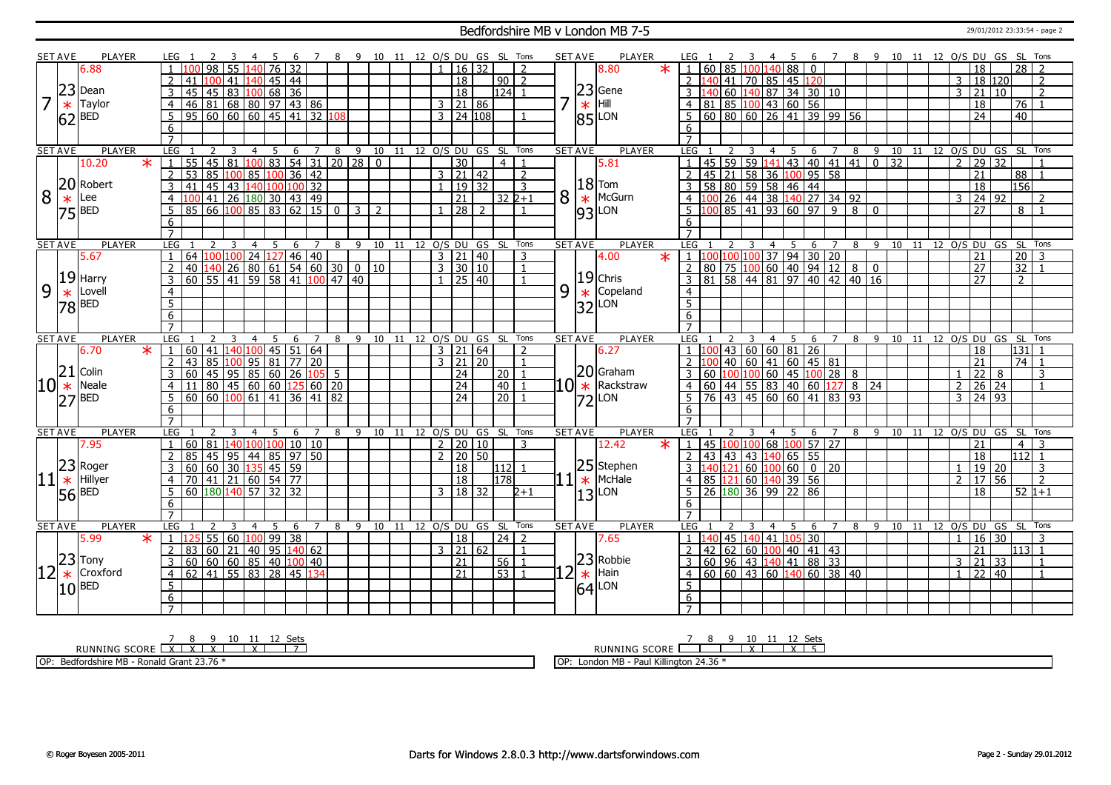#### Bedfordshire MB v London MB 7-5 29/01/2012 23:33:54 - page 2

|                   | <b>SET AVE</b> | <b>PLAYER</b>         |        | LEG.                |                                             |                 |                                     | -4              | - 5 | - 6                  |        |                |     |                                        |                              |    |  |              |                     |                |                              | 7 8 9 10 11 12 O/S DU GS SL Tons | <b>SET AVE</b> |        | <b>PLAYER</b>          |   | LEG 1                        |                    |        |              | $\overline{4}$   | - 5             |                             |                                           |                                                                         |      | 6 7 8 9 10 11 12 O/S DU GS SL Tons |       |                 |                |                       |       |                    |                |  |
|-------------------|----------------|-----------------------|--------|---------------------|---------------------------------------------|-----------------|-------------------------------------|-----------------|-----|----------------------|--------|----------------|-----|----------------------------------------|------------------------------|----|--|--------------|---------------------|----------------|------------------------------|----------------------------------|----------------|--------|------------------------|---|------------------------------|--------------------|--------|--------------|------------------|-----------------|-----------------------------|-------------------------------------------|-------------------------------------------------------------------------|------|------------------------------------|-------|-----------------|----------------|-----------------------|-------|--------------------|----------------|--|
|                   |                | 6.88                  |        |                     |                                             | $\overline{98}$ | 55                                  |                 |     | 140 76 32            |        |                |     |                                        |                              |    |  |              | 16   32             |                |                              | $\overline{2}$                   |                |        | $\star$<br>8.80        |   | $1 \mid 60$                  |                    |        | 85 100       |                  | 140 88 0        |                             |                                           |                                                                         |      |                                    |       |                 |                | 18                    |       | 28                 | $\overline{2}$ |  |
|                   |                |                       |        | $\overline{2}$      | 41                                          |                 | 41                                  | 140             |     | 45 44                |        |                |     |                                        |                              |    |  |              | $\overline{18}$     |                | $90$ 2                       |                                  |                |        |                        |   | 2 140                        |                    |        | 41 70        | 85               | 45 120          |                             |                                           |                                                                         |      |                                    |       |                 |                | $3 \mid 18 \mid 120$  |       |                    | $\overline{2}$ |  |
|                   |                | $23$ Dean             |        | 3                   | 45                                          | 45              | 83                                  |                 |     | $10068$ 36           |        |                |     |                                        |                              |    |  |              | 18                  |                | 124 1                        |                                  |                |        | $ 23 $ Gene            |   |                              |                    |        |              |                  |                 |                             | 60 140 87 34 30 10                        |                                                                         |      |                                    |       |                 | 3              | 21                    | 10    |                    | $\overline{2}$ |  |
| 7                 |                | Taylor                |        |                     |                                             |                 |                                     |                 |     |                      |        |                |     |                                        |                              |    |  |              |                     |                |                              |                                  |                |        | Hill                   |   |                              |                    |        |              |                  |                 |                             |                                           |                                                                         |      |                                    |       |                 |                |                       |       |                    | $\overline{1}$ |  |
|                   | $\ast$         |                       |        | $\overline{4}$      | 46 81 68 80 97 43 86                        |                 |                                     |                 |     |                      |        |                |     |                                        |                              |    |  |              | 3   21   86         |                |                              |                                  |                | $\ast$ |                        |   | $4 \mid 81$                  |                    |        |              |                  |                 | $85$ 100 43 60 56           |                                           |                                                                         |      |                                    |       |                 |                | $\overline{18}$       |       | 76                 |                |  |
|                   |                | $ 62 $ <sup>BED</sup> |        | 5                   | 95 60 60 60 45 41 32 108                    |                 |                                     |                 |     |                      |        |                |     |                                        |                              |    |  |              | 3 24 108            |                |                              |                                  |                |        | $ 85 $ LON             |   |                              |                    |        |              |                  |                 |                             |                                           | $60$ 80 60 26 41 39 99 56                                               |      |                                    |       |                 |                | 24                    |       | 40                 |                |  |
|                   |                |                       |        | 6                   |                                             |                 |                                     |                 |     |                      |        |                |     |                                        |                              |    |  |              |                     |                |                              |                                  |                |        |                        |   | 6                            |                    |        |              |                  |                 |                             |                                           |                                                                         |      |                                    |       |                 |                |                       |       |                    |                |  |
|                   |                |                       |        | $\overline{7}$      |                                             |                 |                                     |                 |     |                      |        |                |     |                                        |                              |    |  |              |                     |                |                              |                                  |                |        |                        |   |                              |                    |        |              |                  |                 |                             |                                           |                                                                         |      |                                    |       |                 |                |                       |       |                    |                |  |
|                   | <b>SET AVE</b> | <b>PLAYER</b>         |        | LEG                 |                                             |                 | 3                                   | $\overline{4}$  | 5   | 6                    |        | $\overline{7}$ | 8   |                                        |                              |    |  |              |                     |                | 9 10 11 12 O/S DU GS SL Tons |                                  | <b>SET AVE</b> |        | <b>PLAYER</b>          |   | LEG                          |                    |        |              | $\overline{4}$   | 5               |                             |                                           | $6 \quad 7 \quad 8$                                                     |      | 9 10 11 12 O/S DU GS SL Tons       |       |                 |                |                       |       |                    |                |  |
|                   |                | 10.20                 | $\ast$ | $\mathbf{1}$        | 55                                          | 45              | 81                                  |                 |     |                      |        |                |     |                                        | 100 83 54 31 20 28 0         |    |  |              | $\overline{30}$     |                | $\overline{4}$               |                                  |                |        | 5.81                   |   |                              | 45 59 59           |        |              | $\overline{141}$ |                 |                             |                                           | 43 40 41 41 0                                                           |      | $\overline{32}$                    |       |                 | $\mathcal{L}$  | $\overline{29}$       | 32    |                    |                |  |
|                   |                |                       |        | 2                   | 53                                          | 85              | 100                                 | 85              | 100 | $36 \mid 42$         |        |                |     |                                        |                              |    |  |              | 3   21   42         |                |                              | $\overline{2}$                   |                |        |                        |   |                              |                    |        |              |                  |                 |                             |                                           |                                                                         |      |                                    |       |                 |                | $\overline{21}$       |       | 88                 | $\overline{1}$ |  |
|                   |                | 20 Robert             |        | $\overline{3}$      | 41                                          |                 | 45 43 140 100 100 32                |                 |     |                      |        |                |     |                                        |                              |    |  | $\mathbf{1}$ | 19 32               |                |                              | 3                                |                |        | $18$ Tom               |   | $\overline{3}$               |                    |        |              |                  |                 |                             |                                           | 45 21 58 36 100 95 58<br>58 80 59 58 46 44<br>100 26 44 38 140 27 34 92 |      |                                    |       |                 |                | $\overline{18}$       |       | 156                |                |  |
| 8                 | $\ast$         | Lee                   |        | $\overline{4}$      |                                             |                 | 41 26 180 30 43 49                  |                 |     |                      |        |                |     |                                        |                              |    |  |              | 21                  |                |                              | $32 2+1$                         | 8              | $\ast$ | McGurn                 |   | 4                            |                    |        |              |                  |                 |                             |                                           |                                                                         |      |                                    |       |                 | 3              | 24                    | 92    |                    | $\overline{2}$ |  |
|                   | 75             | <b>BED</b>            |        | 5                   | $85   66   100   85   83   62   15   0   3$ |                 |                                     |                 |     |                      |        |                |     |                                        | $\overline{2}$               |    |  |              | 128                 | $\overline{2}$ |                              | $\overline{1}$                   |                |        | $ 93 $ LON             |   | .5.                          |                    |        |              |                  |                 |                             | $10085$ 41 93 60 97 9                     | 8 <sub>0</sub>                                                          |      |                                    |       |                 |                | 27                    |       | $8 \mid 1$         |                |  |
|                   |                |                       |        | 6                   |                                             |                 |                                     |                 |     |                      |        |                |     |                                        |                              |    |  |              |                     |                |                              |                                  |                |        |                        |   | 6                            |                    |        |              |                  |                 |                             |                                           |                                                                         |      |                                    |       |                 |                |                       |       |                    |                |  |
|                   |                |                       |        | $\overline{7}$      |                                             |                 |                                     |                 |     |                      |        |                |     |                                        |                              |    |  |              |                     |                |                              |                                  |                |        |                        |   | $\overline{7}$               |                    |        |              |                  |                 |                             |                                           |                                                                         |      |                                    |       |                 |                |                       |       |                    |                |  |
|                   | <b>SET AVE</b> | <b>PLAYER</b>         |        | LEG <sub>1</sub>    |                                             |                 | 3                                   | $\overline{4}$  | -5  | - 6                  |        | $\overline{7}$ | 8   |                                        |                              |    |  |              |                     |                | 9 10 11 12 O/S DU GS SL Tons |                                  | <b>SET AVE</b> |        | <b>PLAYER</b>          |   | LEG 1                        |                    |        | $\mathbf{3}$ | $\overline{4}$   | - 5             |                             | 6 7                                       | 8                                                                       |      | 9 10 11 12 O/S DU GS SL Tons       |       |                 |                |                       |       |                    |                |  |
|                   |                | 5.67                  |        | $\mathbf{1}$        | 64 100 100 24 127 46 40                     |                 |                                     |                 |     |                      |        |                |     |                                        |                              |    |  |              | $3 \mid 21 \mid 40$ |                |                              | 3                                |                |        | 4.00<br>$\ast$         |   | 1 100 100 100                |                    |        |              |                  |                 |                             | 37 94 30 20                               |                                                                         |      |                                    |       |                 |                | $\overline{21}$       |       | 20                 | 3              |  |
|                   |                |                       |        | $\overline{2}$      | 40                                          |                 |                                     |                 |     |                      |        |                |     |                                        | $140$ 26 80 61 54 60 30 0 10 |    |  |              | 3   30   10         |                |                              | $\overline{1}$                   |                |        |                        | 2 |                              |                    |        |              |                  |                 |                             |                                           | $80 \mid 75 \mid 100 \mid 60 \mid 40 \mid 94 \mid 12 \mid 8 \mid 0$     |      |                                    |       |                 |                | $\overline{27}$       |       | 32                 |                |  |
|                   |                | $ 19 $ Harry          |        |                     | 60                                          |                 |                                     |                 |     |                      |        |                |     | 55   41   59   58   41   100   47   40 |                              |    |  |              | $1$   25   40       |                |                              |                                  |                |        | $19$ Chris             |   |                              |                    |        |              |                  |                 |                             |                                           | 81 58 44 81 97 40 42 40 16                                              |      |                                    |       |                 |                | 27                    |       | $\mathcal{P}$      |                |  |
| 9                 | $\ast$         | Lovell                |        | $\overline{4}$      |                                             |                 |                                     |                 |     |                      |        |                |     |                                        |                              |    |  |              |                     |                |                              |                                  | 9              | $\ast$ | Copeland               |   | $\overline{4}$               |                    |        |              |                  |                 |                             |                                           |                                                                         |      |                                    |       |                 |                |                       |       |                    |                |  |
|                   |                | 78 BED                |        | $\overline{5}$      |                                             |                 |                                     |                 |     |                      |        |                |     |                                        |                              |    |  |              |                     |                |                              |                                  |                |        | $32$ LON               |   | $5\overline{5}$              |                    |        |              |                  |                 |                             |                                           |                                                                         |      |                                    |       |                 |                |                       |       |                    |                |  |
|                   |                |                       |        | 6                   |                                             |                 |                                     |                 |     |                      |        |                |     |                                        |                              |    |  |              |                     |                |                              |                                  |                |        |                        |   | 6                            |                    |        |              |                  |                 |                             |                                           |                                                                         |      |                                    |       |                 |                |                       |       |                    |                |  |
|                   |                |                       |        | $\overline{7}$      |                                             |                 |                                     |                 |     |                      |        |                |     |                                        |                              |    |  |              |                     |                |                              |                                  |                |        |                        |   | $\overline{7}$               |                    |        |              |                  |                 |                             |                                           |                                                                         |      |                                    |       |                 |                |                       |       |                    |                |  |
|                   |                |                       |        |                     |                                             |                 |                                     |                 |     |                      |        |                |     |                                        |                              |    |  |              |                     |                |                              |                                  |                |        |                        |   | LEG                          |                    |        |              | 4                | 5               |                             |                                           |                                                                         |      |                                    |       |                 |                |                       |       |                    | Tons           |  |
|                   | <b>SET AVE</b> | <b>PLAYER</b>         |        | <b>LEG</b>          |                                             |                 | 3                                   | $\overline{4}$  | 5   | 6                    |        | $\overline{7}$ | 8   | 9                                      | 10                           | 11 |  |              |                     |                | 12 O/S DU GS SL Tons         |                                  | <b>SET AVE</b> |        | <b>PLAYER</b>          |   |                              |                    |        |              |                  |                 | 6                           | $\overline{7}$                            | 8                                                                       | 9    |                                    | 10 11 | 12 O/S DU GS SL |                |                       |       |                    |                |  |
|                   |                | 6.70                  | $\ast$ | $\mathbf{1}$        | 60                                          | 41              | 140100                              |                 |     | $45 \mid 51 \mid 64$ |        |                |     |                                        |                              |    |  |              | $3 \mid 21 \mid 64$ |                |                              | $\overline{2}$                   |                |        | 6.27                   |   | $\mathbf{1}$                 |                    |        | 43   60   60 |                  | 81 26           |                             |                                           |                                                                         |      |                                    |       |                 |                | 18                    |       | $131$ 1            |                |  |
|                   |                |                       |        | $\overline{2}$      | 43                                          | 85              | 100                                 |                 |     | $95$ 81 77 20        |        |                |     |                                        |                              |    |  |              | $3 \ 21 \ 20$       |                |                              | $\overline{1}$                   |                |        |                        |   | $\overline{2}$               |                    |        |              |                  |                 | 40   60   41   60   45   81 |                                           |                                                                         |      |                                    |       |                 |                | 21                    |       | $74$ 1             |                |  |
|                   | 21             | Colin                 |        | 3                   | 60                                          | 45              | $95$ 85 60 26 105                   |                 |     |                      |        |                | - 5 |                                        |                              |    |  |              | 24                  |                | $20$   1                     |                                  |                |        | 20 Graham              |   | 3                            | 60                 |        | 100 100      | $\overline{60}$  |                 |                             | 45 100 28 8                               |                                                                         |      |                                    |       |                 |                | 22                    | 8     |                    | 3              |  |
|                   |                | Neale                 |        | $\overline{4}$      | 11                                          | 80              | $145$ 60 60 125 60 20               |                 |     |                      |        |                |     |                                        |                              |    |  |              | 24                  |                | $40$   1                     |                                  |                |        | $10$ $\star$ Rackstraw |   | 4 60 44 55 83 40 60 127 8 24 |                    |        |              |                  |                 |                             |                                           |                                                                         |      |                                    |       |                 | $\overline{2}$ | $\overline{26}$       | 24    |                    | $\overline{1}$ |  |
|                   | $ 10 $ *       | <b>BED</b>            |        | 5                   | 60                                          | $\overline{60}$ | 1100                                | $\overline{61}$ | 41  | $36 \mid 41 \mid 82$ |        |                |     |                                        |                              |    |  |              | $\overline{24}$     |                | $\sqrt{20}$ 1                |                                  |                |        |                        |   | $\overline{5}$               |                    |        |              |                  |                 |                             |                                           | 76 43 45 60 60 41 83 93                                                 |      |                                    |       |                 | 3              |                       | 24 93 |                    |                |  |
|                   | 27             |                       |        | 6                   |                                             |                 |                                     |                 |     |                      |        |                |     |                                        |                              |    |  |              |                     |                |                              |                                  |                |        | <b>72</b> LON          |   | 6                            |                    |        |              |                  |                 |                             |                                           |                                                                         |      |                                    |       |                 |                |                       |       |                    |                |  |
|                   |                |                       |        | $\overline{7}$      |                                             |                 |                                     |                 |     |                      |        |                |     |                                        |                              |    |  |              |                     |                |                              |                                  |                |        |                        |   |                              |                    |        |              |                  |                 |                             |                                           |                                                                         |      |                                    |       |                 |                |                       |       |                    |                |  |
|                   | <b>SET AVE</b> | <b>PLAYER</b>         |        | LEG                 |                                             |                 |                                     |                 |     | 6                    |        | $\overline{7}$ | 8   |                                        |                              |    |  |              |                     |                | 9 10 11 12 0/S DU GS SL Tons |                                  | <b>SET AVE</b> |        | <b>PLAYER</b>          |   | LEG 1                        |                    |        |              | $\overline{4}$   | 5               | 6                           | $\overline{7}$                            | 8                                                                       | $-9$ |                                    |       |                 |                | 10 11 12 0/S DU GS SL |       |                    | Tons           |  |
|                   |                | 7.95                  |        | $\mathbf{1}$        | 60                                          | 81              |                                     | 100             | 100 |                      | 10 10  |                |     |                                        |                              |    |  |              | 2   20   10         |                |                              | 3                                |                |        | 12.42<br>$\ast$        |   |                              | 45                 | 001100 |              | 68               | 10 <sub>C</sub> | $57$ 27                     |                                           |                                                                         |      |                                    |       |                 |                | $\overline{21}$       |       | 4 <sup>1</sup>     | 3              |  |
|                   |                |                       |        | 2                   | 85                                          | 45              | $\vert$ 95                          | $\overline{44}$ | 85  | 97                   |        | 50             |     |                                        |                              |    |  | 2            | 20 50               |                |                              |                                  |                |        |                        | 2 |                              | 43                 |        | $43 \mid 43$ | 140              | 65 55           |                             |                                           |                                                                         |      |                                    |       |                 |                | 18                    |       | $\overline{112}$ 1 |                |  |
|                   |                | 23 Roger              |        | 3                   | 60                                          |                 | $\boxed{60}$ 30 $\boxed{135}$ 45 59 |                 |     |                      |        |                |     |                                        |                              |    |  |              | 18                  |                | 112                          |                                  |                |        | 25 Stephen             |   | 3                            |                    | 21     | 60 100       |                  |                 | 60 0 20                     |                                           |                                                                         |      |                                    |       |                 |                |                       | 19 20 |                    | 3              |  |
| $\boldsymbol{11}$ |                | Hillyer               |        | $\overline{4}$      |                                             |                 |                                     |                 |     |                      |        |                |     |                                        |                              |    |  |              | 18                  |                | 178                          |                                  |                | $\ast$ | McHale                 |   | 4                            | 85                 | 121    | 60           | 140              | 39 56           |                             |                                           |                                                                         |      |                                    |       |                 | $\mathcal{P}$  | 17 <sup>1</sup>       | 56    |                    | $\overline{2}$ |  |
|                   | $\ast$         | <b>BED</b>            |        | 5                   | 70 41 21 60 54 77<br>60 180 140 57 32 32    |                 |                                     |                 |     |                      |        |                |     |                                        |                              |    |  |              | 3   18   32         |                |                              | $D+1$                            |                |        |                        |   | .5                           | 26 180 36 99 22 86 |        |              |                  |                 |                             |                                           |                                                                         |      |                                    |       |                 |                | $\overline{18}$       |       | $521+1$            |                |  |
|                   | 56             |                       |        | 6                   |                                             |                 |                                     |                 |     |                      |        |                |     |                                        |                              |    |  |              |                     |                |                              |                                  |                |        | $13$ <sup>LON</sup>    |   | 6                            |                    |        |              |                  |                 |                             |                                           |                                                                         |      |                                    |       |                 |                |                       |       |                    |                |  |
|                   |                |                       |        | $\overline{7}$      |                                             |                 |                                     |                 |     |                      |        |                |     |                                        |                              |    |  |              |                     |                |                              |                                  |                |        |                        |   | $\overline{7}$               |                    |        |              |                  |                 |                             |                                           |                                                                         |      |                                    |       |                 |                |                       |       |                    |                |  |
|                   | <b>SET AVE</b> | <b>PLAYER</b>         |        | LEG                 |                                             | $\overline{2}$  | 3                                   | $\overline{4}$  | -5  | 6                    |        | $\overline{7}$ | 8   |                                        |                              |    |  |              |                     |                |                              | 9 10 11 12 O/S DU GS SL Tons     | <b>SET AVE</b> |        | <b>PLAYER</b>          |   | LEG <sub>1</sub>             |                    |        | 3            | $\overline{4}$   | - 5             | 6                           | $\overline{7}$                            | $\overline{8}$                                                          |      | 9 10 11 12 O/S DU GS SL            |       |                 |                |                       |       |                    | Tons           |  |
|                   |                | 5.99                  | $\ast$ | $\mathbf{1}$        |                                             | 55              | 60                                  | 100             | 99  | 38                   |        |                |     |                                        |                              |    |  |              | 18                  |                | 24   2                       |                                  |                |        | 7.65                   |   | $1\quad1$                    |                    | 45 140 |              | 41               | 105             | 30                          |                                           |                                                                         |      |                                    |       |                 | $\overline{1}$ | 16 <sup>1</sup>       | 30    |                    | 3              |  |
|                   |                |                       |        | $\overline{2}$      | 83                                          | 60              | $\overline{21}$                     | 40              |     | 95 140 62            |        |                |     |                                        |                              |    |  |              | $3 \mid 21 \mid 62$ |                |                              | -1                               |                |        |                        |   | 2                            | 42                 |        |              |                  |                 |                             | 62   60   <mark>100</mark>   40   41   43 |                                                                         |      |                                    |       |                 |                | 21                    |       | 113l 1             |                |  |
|                   |                | $23$ Tony             |        | 3                   | 60                                          |                 | $60 \ 60 \ 85 \ 40$                 |                 |     |                      | 100 40 |                |     |                                        |                              |    |  |              | 21                  |                | 56 1                         |                                  |                |        | 23 Robbie              |   | 3                            |                    |        |              |                  |                 |                             | 60 96 43 140 41 88 33                     |                                                                         |      |                                    |       |                 |                | $3 \mid 21 \mid$      | 33    |                    | $\overline{1}$ |  |
| 12                | $\ast$         | Croxford              |        | $\overline{4}$      | 62                                          |                 | 41 55 83 28 45 134                  |                 |     |                      |        |                |     |                                        |                              |    |  |              | $\overline{21}$     |                | 53                           | $\overline{1}$                   |                | $\ast$ | Hain                   |   | 4                            |                    |        |              |                  |                 |                             |                                           | $60   60   43   60   140   60   38   40$                                |      |                                    |       |                 |                | 22                    | 40    |                    | $\overline{1}$ |  |
|                   |                |                       |        | 5                   |                                             |                 |                                     |                 |     |                      |        |                |     |                                        |                              |    |  |              |                     |                |                              |                                  |                |        |                        |   | 5                            |                    |        |              |                  |                 |                             |                                           |                                                                         |      |                                    |       |                 |                |                       |       |                    |                |  |
|                   |                | $10$ <sup>BED</sup>   |        | 6<br>$\overline{7}$ |                                             |                 |                                     |                 |     |                      |        |                |     |                                        |                              |    |  |              |                     |                |                              |                                  |                |        | $ 64 $ LON             |   | 6                            |                    |        |              |                  |                 |                             |                                           |                                                                         |      |                                    |       |                 |                |                       |       |                    |                |  |

RUNNING SCORE 7 X 8 X 9 X 10 11 X 12 Sets 7

OP: Bedfordshire MB - Ronald Grant 23.76 \*

RUNNING SCORE 7 8 9 10 X 11 12 X Sets 5

OP: London MB - Paul Killington 24.36 \*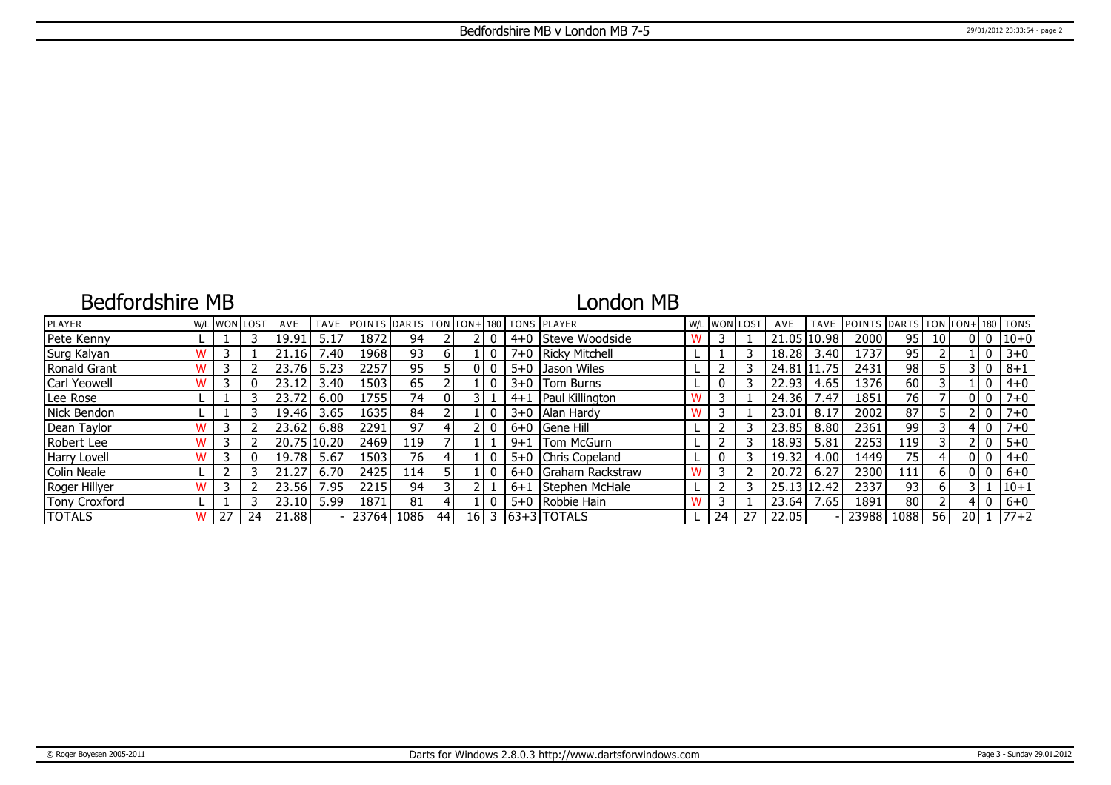### Bedfordshire MB

# London MB

| PLAYER        |   |    | W/L WON LOST | AVE   | <b>TAVE</b> | <b>IPOINTS DARTS TON FON+1180 TONS PLAYER</b> |       |          |    |         |                          |    | W/L WON LOST | AVE         | <b>TAVE</b> | <b>IPOINTS IDARTS ITON ITON+1180 ITONS</b> |      |                 |      |                |          |
|---------------|---|----|--------------|-------|-------------|-----------------------------------------------|-------|----------|----|---------|--------------------------|----|--------------|-------------|-------------|--------------------------------------------|------|-----------------|------|----------------|----------|
| Pete Kenny    |   |    |              | 19.91 | 5.17        | 1872                                          | 94    |          |    |         | 4+0 Steve Woodside       |    |              |             | 21.05 10.98 | 2000                                       | 95   | 10 <sup>1</sup> |      | 0 <sup>1</sup> | $ 10+0 $ |
| Surg Kalyan   |   |    |              | 21.16 | 1.40        | 19681                                         | 931   | b.       |    |         | 7+0   Ricky Mitchell     |    |              | 18.28       | 3.40        | 1737                                       | 95   |                 |      | $\overline{0}$ | $3 + 0$  |
| Ronald Grant  |   |    |              | 23.76 | 5.23        | 2257                                          | 95    |          | 01 |         | 5+0 Jason Wiles          |    |              |             | 24.81 11.75 | 2431                                       | 98   |                 |      | 3 I O          | $8 + 1$  |
| Carl Yeowell  |   |    |              | 23.12 | 3.40        | 1503                                          | 65    |          |    |         | $3+0$ Tom Burns          |    |              | 22.93       | 4.65        | 1376                                       | 60   |                 |      | 0              | $4 + 0$  |
| Lee Rose      |   |    |              | 23.72 | 6.00        | 1755 l                                        | 74    | $\Omega$ |    | $4 + 1$ | Paul Killington          |    |              | 24.36       | 7.47        | 1851                                       | 76   |                 |      | 0 <sub>0</sub> | $7 + 0$  |
| Nick Bendon   |   |    |              | 19.46 | 3.65        | 16351                                         | 84    |          |    |         | 3+0   Alan Hardy         |    |              | 23.01       | 8.17        | 2002                                       | 87   |                 |      | ! 0            | $7 + 0$  |
| Dean Taylor   |   |    |              | 23.62 | 6.88        | 2291                                          | 97    |          |    |         | 6+0   Gene Hill          |    |              | 23.85       | 8.80        | 2361                                       | 99   |                 |      | $\mathbf{0}$   | $7 + 0$  |
| Robert Lee    |   |    |              | 20.75 | 10.20       | 2469                                          | 119 l |          |    | $9 + 1$ | <b>Tom McGurn</b>        |    |              | 18.93       | 5.81        | 2253                                       | 119  |                 |      | 0              | $5 + 0$  |
| Harry Lovell  |   |    |              | 19.78 | 5.67        | 1503                                          | 76 I  |          |    |         | 5+0 Chris Copeland       |    |              | 19.32       | 4.00        | 1449                                       | 75   |                 |      | 0   0          | $4 + 0$  |
| Colin Neale   |   |    |              | 21.27 | 6.70        | 2425                                          | 114   |          |    |         | 6+0 Graham Rackstraw     |    |              | 20.72       | 6.27        | 2300                                       | 111  | $6 \mid$        |      | 0 I O          | $6 + 0$  |
| Roger Hillyer |   |    |              | 23.56 | 7.95        | 2215                                          | 94    |          |    | $.6+1$  | Stephen McHale           |    |              | 25.13 12.42 |             | 2337                                       | 93   | 6               |      |                | $ 10+1$  |
| Tony Croxford |   |    |              | 23.10 | 5.99        | 1871                                          | 81    |          |    |         | 5+0 Robbie Hain          |    |              | 23.64       | 7.65        | 1891                                       | 80   |                 |      | 0              | $6+0$    |
| <b>TOTALS</b> | W | 27 | 24           | 21.88 |             | 23764                                         | 1086  | 44       |    |         | $16$   3   63+3   TOTALS | 24 | 27           | 22.05       |             | 23988                                      | 1088 | 56              | 20 1 |                | $ 77+2 $ |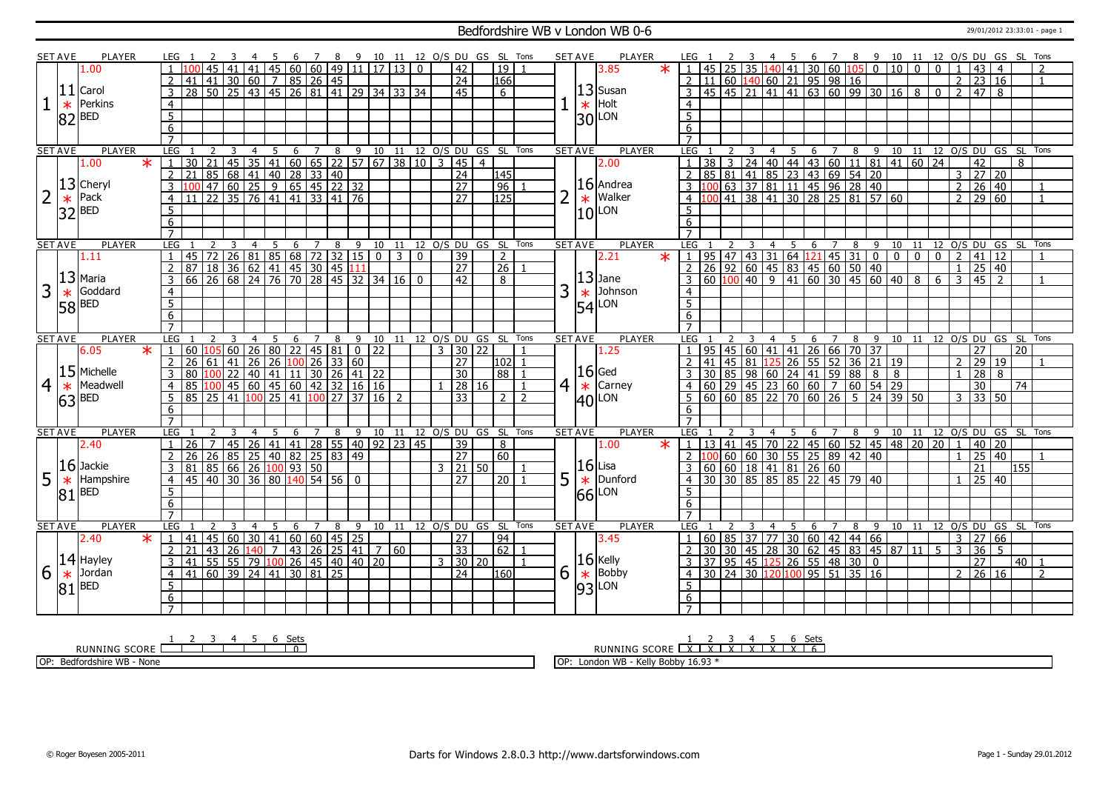#### Bedfordshire WB v London WB 0-6 29/01/2012 23:33:01 - page 1

|                | <b>SET AVE</b> | PLAYER                  | LEG 1               |                                                                                                        |                | -3                                              | -4              | 5               |                  |                   |                 |                                  |                           |                | 6 7 8 9 10 11 12 0/S DU GS SL Tons |               |                     |                |                 |                |                | SET AVE                    | PLAYER                                                | LEG 1                             |                 |                 |                    |                | 45                                           |                                                                             |                |                         |      | 6 7 8 9 10 11 12 O/S DU GS SL Tons                          |                |                            |                |                |                                                |                |                 |                |
|----------------|----------------|-------------------------|---------------------|--------------------------------------------------------------------------------------------------------|----------------|-------------------------------------------------|-----------------|-----------------|------------------|-------------------|-----------------|----------------------------------|---------------------------|----------------|------------------------------------|---------------|---------------------|----------------|-----------------|----------------|----------------|----------------------------|-------------------------------------------------------|-----------------------------------|-----------------|-----------------|--------------------|----------------|----------------------------------------------|-----------------------------------------------------------------------------|----------------|-------------------------|------|-------------------------------------------------------------|----------------|----------------------------|----------------|----------------|------------------------------------------------|----------------|-----------------|----------------|
|                |                | 1.00                    |                     |                                                                                                        | 45             | 41                                              |                 |                 |                  |                   |                 |                                  | 41 45 60 60 49 11 17 13 0 |                |                                    |               | 42                  |                | 19              |                |                |                            | $\star$<br>3.85                                       | $\overline{1}$                    | 45              | 25 <sub>1</sub> |                    |                |                                              | 35 $140$ 41 30 60 105 0                                                     |                |                         |      | 10                                                          | $\overline{0}$ | $\Omega$                   |                |                | 43                                             | $\overline{4}$ |                 | $\overline{2}$ |
|                |                |                         | $\overline{2}$      |                                                                                                        |                |                                                 |                 |                 |                  |                   |                 |                                  |                           |                |                                    |               | $\overline{24}$     |                | 166             |                |                |                            |                                                       |                                   |                 |                 |                    |                | $2 \mid 11 \mid 60 \mid 140 \mid 60 \mid 21$ |                                                                             |                | $95$ 98 16              |      |                                                             |                |                            |                |                | $\overline{2}$ $\overline{23}$ $\overline{16}$ |                |                 | $\overline{1}$ |
|                |                | $ 11 $ Carol            | $\overline{3}$      |                                                                                                        |                |                                                 |                 |                 |                  |                   |                 |                                  |                           |                |                                    |               | 45                  |                | 6               |                |                |                            | $13$ Susan                                            |                                   | 45              |                 | $45 \overline{21}$ |                | $41 \mid 41$                                 |                                                                             |                |                         |      | 63 60 99 30 16 8                                            |                | $\mathbf{0}$               |                | $\overline{2}$ | 47                                             | 8              |                 |                |
|                |                | Perkins                 |                     |                                                                                                        |                |                                                 |                 |                 |                  |                   |                 |                                  |                           |                |                                    |               |                     |                |                 |                |                |                            |                                                       |                                   |                 |                 |                    |                |                                              |                                                                             |                |                         |      |                                                             |                |                            |                |                |                                                |                |                 |                |
|                | $\ast$         |                         | $\overline{4}$      |                                                                                                        |                |                                                 |                 |                 |                  |                   |                 |                                  |                           |                |                                    |               |                     |                |                 |                |                |                            | $\frac{1}{30}$ Holt                                   | $\overline{4}$                    |                 |                 |                    |                |                                              |                                                                             |                |                         |      |                                                             |                |                            |                |                |                                                |                |                 |                |
|                |                | $ 82 $ BED              | 5 <sup>5</sup>      |                                                                                                        |                |                                                 |                 |                 |                  |                   |                 |                                  |                           |                |                                    |               |                     |                |                 |                |                |                            |                                                       | 5                                 |                 |                 |                    |                |                                              |                                                                             |                |                         |      |                                                             |                |                            |                |                |                                                |                |                 |                |
|                |                |                         | 6                   |                                                                                                        |                |                                                 |                 |                 |                  |                   |                 |                                  |                           |                |                                    |               |                     |                |                 |                |                |                            |                                                       | 6                                 |                 |                 |                    |                |                                              |                                                                             |                |                         |      |                                                             |                |                            |                |                |                                                |                |                 |                |
|                |                |                         |                     |                                                                                                        |                |                                                 |                 |                 |                  |                   |                 |                                  |                           |                |                                    |               |                     |                |                 |                |                |                            |                                                       |                                   |                 |                 |                    |                |                                              |                                                                             |                |                         |      |                                                             |                |                            |                |                |                                                |                |                 |                |
|                | <b>SET AVE</b> | <b>PLAYER</b>           | LEG                 |                                                                                                        |                | 3                                               | $\overline{4}$  | -5              |                  |                   |                 |                                  |                           |                | 6 7 8 9 10 11 12 0/S DU GS SL Tons |               |                     |                |                 |                |                | <b>SET AVE</b>             | <b>PLAYER</b>                                         | LEG                               |                 |                 |                    | $\overline{4}$ | 5                                            |                                                                             |                |                         |      | 6 7 8 9 10 11 12 O/S DU GS SL Tons                          |                |                            |                |                |                                                |                |                 |                |
|                |                | 1.00<br>$\ast$          |                     | 30                                                                                                     |                |                                                 |                 |                 |                  |                   |                 |                                  |                           |                |                                    |               |                     | $\overline{4}$ |                 |                |                |                            | 2.00                                                  |                                   |                 |                 |                    |                |                                              |                                                                             |                |                         |      |                                                             |                |                            |                |                | $\overline{42}$                                |                | 8               |                |
|                |                |                         | 2                   | 21                                                                                                     |                |                                                 |                 |                 |                  |                   |                 |                                  |                           |                |                                    |               |                     |                | 145             |                |                |                            |                                                       |                                   |                 |                 |                    |                |                                              |                                                                             |                |                         |      |                                                             |                |                            |                |                |                                                |                |                 |                |
|                |                | $ 13 $ Cheryl           | $\overline{3}$      |                                                                                                        |                |                                                 |                 |                 |                  |                   |                 |                                  |                           |                |                                    |               |                     |                | $\overline{96}$ |                |                |                            | $16$ Andrea                                           |                                   |                 |                 |                    |                |                                              |                                                                             |                |                         |      |                                                             |                |                            |                |                | $2 \ 26 \ 40$                                  |                |                 | $\overline{1}$ |
| $\overline{2}$ | $\ast$         | Pack                    | $\overline{4}$      |                                                                                                        |                |                                                 |                 |                 |                  |                   |                 |                                  |                           |                |                                    |               |                     |                | 125             |                | $\overline{2}$ |                            | Walker                                                |                                   |                 |                 |                    |                |                                              |                                                                             |                |                         |      |                                                             |                |                            |                |                | $\frac{1}{2}$ 29 60                            |                |                 | $\overline{1}$ |
|                |                | $32$ <sup>BED</sup>     | 5                   |                                                                                                        |                |                                                 |                 |                 |                  |                   |                 |                                  |                           |                |                                    |               |                     |                |                 |                |                |                            | $\vert$ $\ast$ $\vert$ Walk<br>$\vert$ 10 $\vert$ LON | $5^{\circ}$                       |                 |                 |                    |                |                                              |                                                                             |                |                         |      |                                                             |                |                            |                |                |                                                |                |                 |                |
|                |                |                         | 6                   |                                                                                                        |                |                                                 |                 |                 |                  |                   |                 |                                  |                           |                |                                    |               |                     |                |                 |                |                |                            |                                                       | 6                                 |                 |                 |                    |                |                                              |                                                                             |                |                         |      |                                                             |                |                            |                |                |                                                |                |                 |                |
|                |                |                         | $\overline{7}$      |                                                                                                        |                |                                                 |                 |                 |                  |                   |                 |                                  |                           |                |                                    |               |                     |                |                 |                |                |                            |                                                       | $\overline{7}$                    |                 |                 |                    |                |                                              |                                                                             |                |                         |      |                                                             |                |                            |                |                |                                                |                |                 |                |
|                | <b>SET AVE</b> | <b>PLAYER</b>           | LEG 1               |                                                                                                        | $\overline{z}$ | 3                                               | $\overline{4}$  | 5               |                  |                   |                 |                                  |                           |                | 6 7 8 9 10 11 12 0/S DU GS SL Tons |               |                     |                |                 |                |                | <b>SET AVE</b>             | <b>PLAYER</b>                                         | LEG 1                             |                 |                 |                    | $\overline{4}$ | $5^{\circ}$                                  |                                                                             |                |                         |      | 6 7 8 9 10 11 12 0/S DU GS SL Tons                          |                |                            |                |                |                                                |                |                 |                |
|                |                | 1.11                    | $\overline{1}$      | 145 72 26 81 85 68 72 32 15 0 3 0<br>87 18 36 62 41 45 30 45 111<br>66 26 68 24 76 70 28 45 32 34 16 0 |                |                                                 |                 |                 |                  |                   |                 |                                  |                           |                |                                    |               | $\overline{39}$     |                | $\overline{2}$  |                |                |                            | $\overline{\textbf{x}}$<br>2.21                       |                                   |                 |                 |                    |                |                                              |                                                                             |                |                         |      |                                                             |                | $\overline{0}$             |                |                | 2  41  12                                      |                |                 | $\mathbf{1}$   |
|                |                |                         | $\overline{2}$      |                                                                                                        |                |                                                 |                 |                 |                  |                   |                 |                                  |                           |                |                                    |               | $\overline{27}$     |                | $\overline{26}$ |                |                |                            |                                                       |                                   |                 |                 |                    |                |                                              |                                                                             |                |                         |      |                                                             |                |                            |                |                | $25 \mid 40$                                   |                |                 |                |
|                |                | $ 13 $ Maria            |                     |                                                                                                        |                |                                                 |                 |                 |                  |                   |                 |                                  |                           |                |                                    |               | 42                  |                | 8               |                |                |                            | $ 13 $ Jane                                           |                                   |                 |                 |                    |                |                                              |                                                                             |                |                         |      |                                                             |                | 6                          |                | $\mathcal{E}$  | 45                                             | $\sqrt{2}$     |                 |                |
| 3              | $\ast$         | Goddard                 | $\overline{4}$      |                                                                                                        |                |                                                 |                 |                 |                  |                   |                 |                                  |                           |                |                                    |               |                     |                |                 |                | 3              |                            | Johnson                                               | $\overline{4}$                    |                 |                 |                    |                |                                              |                                                                             |                |                         |      |                                                             |                |                            |                |                |                                                |                |                 |                |
|                |                | $58$ <sup>BED</sup>     | 5                   |                                                                                                        |                |                                                 |                 |                 |                  |                   |                 |                                  |                           |                |                                    |               |                     |                |                 |                |                | $\vert \frac{*}{54} \vert$ | LON                                                   | $\overline{5}$                    |                 |                 |                    |                |                                              |                                                                             |                |                         |      |                                                             |                |                            |                |                |                                                |                |                 |                |
|                |                |                         | 6                   |                                                                                                        |                |                                                 |                 |                 |                  |                   |                 |                                  |                           |                |                                    |               |                     |                |                 |                |                |                            |                                                       | 6                                 |                 |                 |                    |                |                                              |                                                                             |                |                         |      |                                                             |                |                            |                |                |                                                |                |                 |                |
|                |                |                         | $\overline{7}$      |                                                                                                        |                |                                                 |                 |                 |                  |                   |                 |                                  |                           |                |                                    |               |                     |                |                 |                |                |                            |                                                       | $\overline{7}$                    |                 |                 |                    |                |                                              |                                                                             |                |                         |      |                                                             |                |                            |                |                |                                                |                |                 |                |
| <b>SET AVE</b> |                |                         |                     |                                                                                                        |                |                                                 | 4               |                 | 6                | 7                 | 8               | 9                                | 10                        | 11             |                                    | 12 O/S DU     |                     |                | GS SL           | Tons           |                | <b>SET AVE</b>             | <b>PLAYER</b>                                         | LEG                               |                 |                 |                    |                | 5                                            | 6                                                                           | 7              | 8                       | 9    | 10 11                                                       |                |                            |                |                | 12 O/S DU GS SL                                |                |                 | Tons           |
|                |                | <b>PLAYER</b>           | LEG                 |                                                                                                        |                |                                                 |                 |                 |                  |                   |                 |                                  |                           |                |                                    |               |                     |                |                 |                |                |                            |                                                       |                                   |                 |                 |                    |                |                                              |                                                                             |                |                         |      |                                                             |                |                            |                |                |                                                |                |                 |                |
|                |                | $\overline{\mathbf{x}}$ | $\overline{1}$      |                                                                                                        |                |                                                 |                 |                 |                  |                   |                 |                                  |                           |                |                                    | $\mathcal{R}$ |                     |                |                 |                |                |                            |                                                       | $\overline{1}$                    |                 |                 |                    |                |                                              |                                                                             |                |                         |      |                                                             |                |                            |                |                |                                                |                | $\overline{20}$ |                |
|                |                | 6.05                    | $\overline{2}$      | 60<br>26                                                                                               | 61             | 60                                              | $\overline{26}$ |                 |                  |                   |                 | $\overline{0}$                   | 22                        |                |                                    |               | 30 22<br>27         |                |                 |                |                |                            | 1.25                                                  | $\overline{2}$                    | 41              | 95   45   60    |                    |                |                                              |                                                                             |                |                         |      |                                                             |                |                            |                | 2 29           | 27                                             | 19             |                 |                |
|                |                | $15$ Michelle           | 3                   |                                                                                                        |                | 41                                              | 26              |                 |                  |                   |                 | 80 22 45 81 0<br>26 100 26 33 60 |                           |                |                                    |               |                     |                | 102             |                |                |                            | $ 16 $ Ged                                            | 3                                 |                 |                 |                    |                |                                              |                                                                             |                |                         |      | 45 60 41 41 26 66 70 37<br>45 81 125 26 55 52 36 21 19      |                |                            |                |                | 28                                             | 8              |                 |                |
|                |                |                         | $\overline{4}$      |                                                                                                        |                | 22                                              |                 | $140$ 41        |                  |                   |                 |                                  | $\boxed{11}$ 30 26 41 22  |                |                                    |               | 30<br>28 16         |                | 88              | $\overline{1}$ |                |                            |                                                       | $\overline{4}$                    |                 |                 |                    |                |                                              |                                                                             |                |                         |      |                                                             |                |                            |                |                |                                                |                | 74              |                |
| $\overline{4}$ | $\ast$         | Meadwell                |                     | 85 100 45 60 45 60 42 32 16 16<br>85 25                                                                |                | 141 100                                         |                 |                 |                  |                   | $\overline{27}$ | 37                               | 16 <sup>1</sup>           | $\overline{z}$ |                                    |               | 33                  |                | $2$   2         |                | 4 <sup>1</sup> | $\ast$                     | Carney                                                |                                   |                 |                 |                    |                | 60 60 85 22 70                               |                                                                             |                |                         |      | 30 85 98 60 24 41 59 88 8 8<br>60 29 45 23 60 60 7 60 54 29 |                |                            |                | $\mathcal{E}$  | $\overline{30}$                                |                |                 |                |
|                | 63             | <b>BED</b>              |                     |                                                                                                        |                |                                                 |                 | $\overline{25}$ | $\overline{141}$ |                   |                 |                                  |                           |                |                                    |               |                     |                |                 |                |                |                            | $ 40 $ LON                                            |                                   |                 |                 |                    |                |                                              |                                                                             |                |                         |      |                                                             |                |                            |                |                | 33 50                                          |                |                 |                |
|                |                |                         | 6                   |                                                                                                        |                |                                                 |                 |                 |                  |                   |                 |                                  |                           |                |                                    |               |                     |                |                 |                |                |                            |                                                       | 6                                 |                 |                 |                    |                |                                              |                                                                             |                |                         |      |                                                             |                |                            |                |                |                                                |                |                 |                |
|                |                | <b>PLAYER</b>           | LEG                 |                                                                                                        |                |                                                 | $\overline{4}$  | 5               | 6                | $\overline{7}$    |                 |                                  |                           |                |                                    |               |                     |                |                 | Tons           |                | <b>SET AVE</b>             | <b>PLAYER</b>                                         |                                   |                 |                 |                    | $\overline{4}$ | -5                                           |                                                                             | $\overline{7}$ |                         |      |                                                             |                |                            |                |                |                                                |                |                 |                |
|                | <b>SET AVE</b> | 2.40                    |                     |                                                                                                        | $\overline{7}$ |                                                 |                 |                 |                  |                   | 8               | 9                                |                           |                | 10 11 12 0/S DU GS SL              |               |                     |                |                 |                |                |                            |                                                       | <b>LEG</b>                        |                 |                 |                    |                |                                              | 6                                                                           |                | 8                       | $-9$ |                                                             |                | 10 11 12 0/S DU GS SL Tons |                |                |                                                |                |                 |                |
|                |                |                         |                     | 26                                                                                                     |                | 45   26   41   41   28   55   40   92   23   45 |                 |                 |                  |                   |                 |                                  |                           |                |                                    |               | $\overline{39}$     |                | 8               |                |                |                            | 1.00                                                  |                                   |                 |                 |                    |                |                                              |                                                                             |                |                         |      | 1 13 41 45 70 22 45 60 52 45 48 20 20                       |                |                            |                |                | 1   40   20                                    |                |                 |                |
|                |                |                         |                     | 26                                                                                                     |                | 26 85 25 40 82 25 83 49                         |                 |                 |                  |                   |                 |                                  |                           |                |                                    |               | 27                  |                | 60              |                |                |                            |                                                       |                                   |                 |                 |                    |                |                                              | 00 60 60 30 55 25 89 42 40                                                  |                |                         |      |                                                             |                |                            |                |                | 25 40                                          |                |                 |                |
|                |                | $16$ Jackie             | $\overline{3}$      | 81 85 66 26 100 93 50                                                                                  |                |                                                 |                 |                 |                  |                   |                 |                                  |                           |                |                                    |               | 3   21   50         |                |                 |                |                |                            | $16$ Lisa                                             |                                   |                 |                 |                    |                |                                              | 3 60 60 18 41 81 26 60                                                      |                |                         |      |                                                             |                |                            |                |                | 21                                             |                | 155             |                |
| 5              | $\ast$         | Hampshire               | $\overline{4}$      | 45 40 30 36 80 140 54 56                                                                               |                |                                                 |                 |                 |                  |                   |                 | $\overline{\mathbf{0}}$          |                           |                |                                    |               | $\overline{27}$     |                | $\overline{20}$ |                | 5              | $\overline{\ast}$          | Dunford                                               | $\overline{4}$                    |                 |                 |                    |                |                                              | 30 30 85 85 85 22 45 79 40                                                  |                |                         |      |                                                             |                |                            |                |                | $25 \mid 40$                                   |                |                 |                |
|                | 81             | <b>BED</b>              | 5 <sup>5</sup>      |                                                                                                        |                |                                                 |                 |                 |                  |                   |                 |                                  |                           |                |                                    |               |                     |                |                 |                |                | 66                         | LON                                                   | 5                                 |                 |                 |                    |                |                                              |                                                                             |                |                         |      |                                                             |                |                            |                |                |                                                |                |                 |                |
|                |                |                         | 6                   |                                                                                                        |                |                                                 |                 |                 |                  |                   |                 |                                  |                           |                |                                    |               |                     |                |                 |                |                |                            |                                                       | 6                                 |                 |                 |                    |                |                                              |                                                                             |                |                         |      |                                                             |                |                            |                |                |                                                |                |                 |                |
|                |                |                         | $\overline{7}$      |                                                                                                        |                |                                                 |                 |                 |                  |                   |                 |                                  |                           |                |                                    |               |                     |                |                 |                |                |                            |                                                       | $\overline{7}$                    |                 |                 |                    |                |                                              |                                                                             |                |                         |      |                                                             |                |                            |                |                |                                                |                |                 |                |
|                | <b>SET AVE</b> | <b>PLAYER</b>           | LEG <sub>1</sub>    |                                                                                                        | $\overline{2}$ | -3                                              | $\overline{4}$  | -5              | 6                | 7                 | 8               |                                  | 9 10                      | 11             |                                    |               | 12 0/S DU GS SL     |                |                 | Tons           |                | <b>SET AVE</b>             | <b>PLAYER</b>                                         | LEG                               |                 |                 |                    |                | - 5                                          | 6                                                                           | $\overline{7}$ | 8                       |      | 9 10 11 12 0/S DU GS SL Tons                                |                |                            |                |                |                                                |                |                 |                |
|                |                | 2.40<br>$\ast$          | $\vert 1 \vert$     | 41                                                                                                     | 45 60          |                                                 |                 |                 |                  | 30   41   60   60 | $\boxed{45}$    | $\overline{25}$                  |                           |                |                                    |               | 27                  |                | 94              |                |                |                            | 3.45                                                  | $\overline{1}$                    |                 |                 |                    |                | 60 85 37 77 30                               |                                                                             |                | $60$ 42 44 66           |      |                                                             |                |                            |                | $3 \mid 27$    |                                                | 66             |                 |                |
|                |                |                         | $\overline{2}$      | 21                                                                                                     | $143$ 26       |                                                 |                 | $140$ 7         |                  |                   |                 | 43 26 25 41                      |                           | 7 60           |                                    |               | $\overline{33}$     |                | 62              |                |                |                            |                                                       | $\mathcal{L}$                     | $\overline{30}$ |                 |                    |                |                                              |                                                                             |                |                         |      | 30 45 28 30 62 45 83 45 87 11                               |                | 5                          | $\overline{3}$ |                | 36                                             | 5 <sup>5</sup> |                 |                |
|                |                | $ 14 $ Hayley           | 3                   | 41                                                                                                     |                | 55 55 79 100 26 45 40 40 20                     |                 |                 |                  |                   |                 |                                  |                           |                |                                    |               | $3 \mid 30 \mid 20$ |                |                 | $\overline{1}$ |                |                            |                                                       |                                   |                 |                 |                    |                |                                              | $3 \mid 37 \mid 95 \mid 45 \mid 125 \mid 26 \mid 55 \mid 48 \mid 30 \mid 0$ |                |                         |      |                                                             |                |                            |                |                | $\overline{27}$                                |                | 40              | $\overline{1}$ |
| 6              | $\ast$         | Jordan                  | $\overline{4}$      | 41                                                                                                     |                | $60$ 39 24 41                                   |                 |                 |                  | 30 81 25          |                 |                                  |                           |                |                                    |               | $\overline{24}$     |                | 1160            |                | 6              |                            | $\frac{16}{*}$ Kelly                                  | $\overline{4}$                    |                 |                 |                    |                | 30 24 30 120 100                             |                                                                             |                | $\frac{1}{95}$ 51 35 16 |      |                                                             |                |                            |                | $\overline{2}$ | 26 16                                          |                |                 | $\overline{2}$ |
|                | 81             | <b>BED</b>              | 5                   |                                                                                                        |                |                                                 |                 |                 |                  |                   |                 |                                  |                           |                |                                    |               |                     |                |                 |                |                |                            |                                                       | 5                                 |                 |                 |                    |                |                                              |                                                                             |                |                         |      |                                                             |                |                            |                |                |                                                |                |                 |                |
|                |                |                         | 6<br>$\overline{7}$ |                                                                                                        |                |                                                 |                 |                 |                  |                   |                 |                                  |                           |                |                                    |               |                     |                |                 |                |                |                            | $\frac{1}{93}$ Bobb                                   | $6\overline{6}$<br>$\overline{7}$ |                 |                 |                    |                |                                              |                                                                             |                |                         |      |                                                             |                |                            |                |                |                                                |                |                 |                |

RUNNING SCORE <u>| 2 3 4 5 6 Sets</u><br>RUNNING SCORE | | | | | | | | 0

OP: Bedfordshire WB - None

RUNNING SCORE 1 X 2 X 3 X 4 X 5 X 6 X Sets 6

OP: London WB - Kelly Bobby 16.93 \*